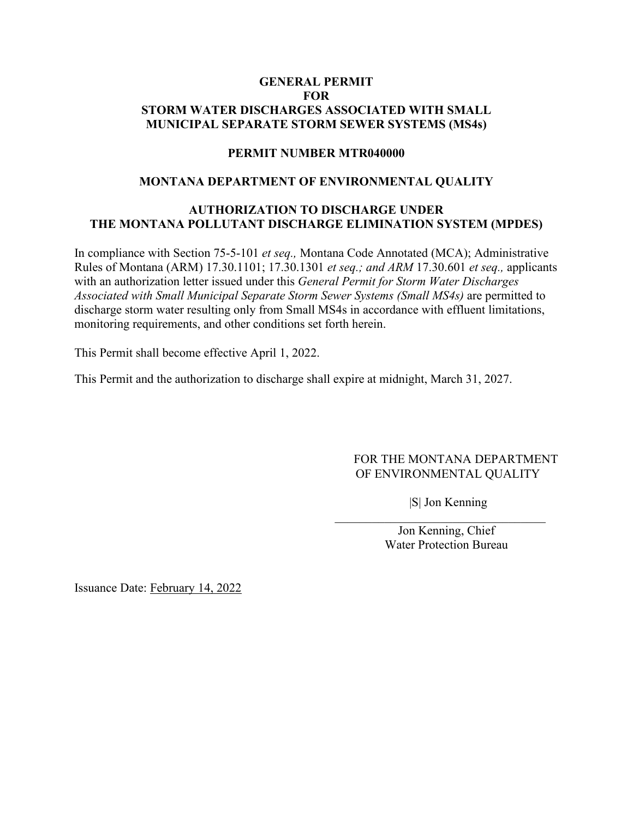#### **GENERAL PERMIT FOR STORM WATER DISCHARGES ASSOCIATED WITH SMALL MUNICIPAL SEPARATE STORM SEWER SYSTEMS (MS4s)**

#### **PERMIT NUMBER MTR040000**

#### **MONTANA DEPARTMENT OF ENVIRONMENTAL QUALITY**

## **AUTHORIZATION TO DISCHARGE UNDER THE MONTANA POLLUTANT DISCHARGE ELIMINATION SYSTEM (MPDES)**

In compliance with Section 75-5-101 *et seq.,* Montana Code Annotated (MCA); Administrative Rules of Montana (ARM) 17.30.1101; 17.30.1301 *et seq.; and ARM* 17.30.601 *et seq.,* applicants with an authorization letter issued under this *General Permit for Storm Water Discharges Associated with Small Municipal Separate Storm Sewer Systems (Small MS4s)* are permitted to discharge storm water resulting only from Small MS4s in accordance with effluent limitations, monitoring requirements, and other conditions set forth herein.

This Permit shall become effective April 1, 2022.

This Permit and the authorization to discharge shall expire at midnight, March 31, 2027.

#### FOR THE MONTANA DEPARTMENT OF ENVIRONMENTAL QUALITY

|S| Jon Kenning

 $\mathcal{L}_\mathcal{L}$ 

Jon Kenning, Chief Water Protection Bureau

Issuance Date: February 14, 2022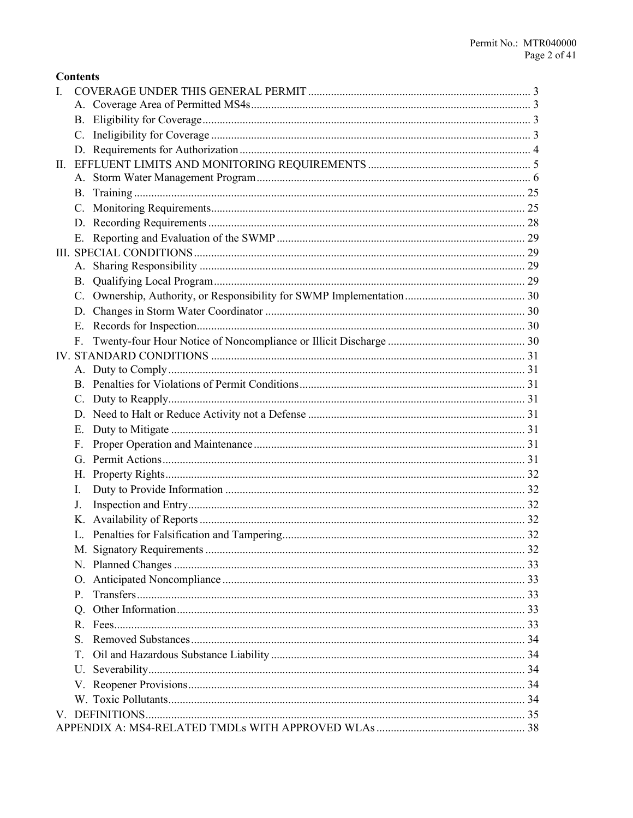| <b>Contents</b> |
|-----------------|
|-----------------|

| L. |             |  |
|----|-------------|--|
|    |             |  |
|    |             |  |
|    |             |  |
|    |             |  |
|    |             |  |
|    |             |  |
|    |             |  |
|    |             |  |
|    |             |  |
|    |             |  |
|    |             |  |
|    |             |  |
|    | <b>B.</b>   |  |
|    | C.          |  |
|    |             |  |
|    | E.          |  |
|    | F.          |  |
|    |             |  |
|    |             |  |
|    |             |  |
|    |             |  |
|    |             |  |
|    | Ε.          |  |
|    | F.          |  |
|    |             |  |
|    |             |  |
|    | Ι.          |  |
|    | J.          |  |
|    |             |  |
|    |             |  |
|    |             |  |
|    |             |  |
|    |             |  |
|    | $P_{\perp}$ |  |
|    | Q.          |  |
|    |             |  |
|    | S.          |  |
|    | T.          |  |
|    | U.          |  |
|    |             |  |
|    |             |  |
|    |             |  |
|    |             |  |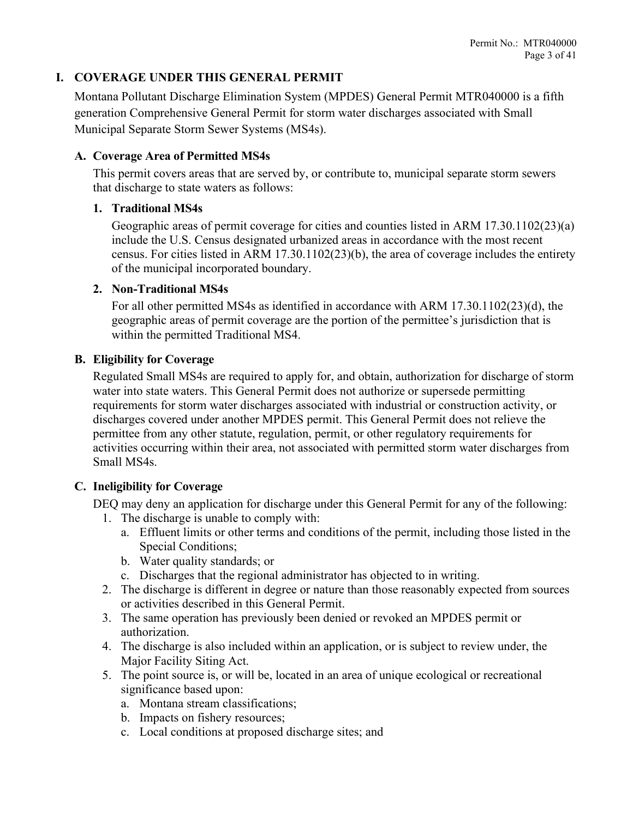## <span id="page-2-0"></span>**I. COVERAGE UNDER THIS GENERAL PERMIT**

Montana Pollutant Discharge Elimination System (MPDES) General Permit MTR040000 is a fifth generation Comprehensive General Permit for storm water discharges associated with Small Municipal Separate Storm Sewer Systems (MS4s).

#### <span id="page-2-1"></span>**A. Coverage Area of Permitted MS4s**

This permit covers areas that are served by, or contribute to, municipal separate storm sewers that discharge to state waters as follows:

#### **1. Traditional MS4s**

Geographic areas of permit coverage for cities and counties listed in ARM 17.30.1102(23)(a) include the U.S. Census designated urbanized areas in accordance with the most recent census. For cities listed in ARM 17.30.1102(23)(b), the area of coverage includes the entirety of the municipal incorporated boundary.

#### **2. Non-Traditional MS4s**

For all other permitted MS4s as identified in accordance with ARM 17.30.1102(23)(d), the geographic areas of permit coverage are the portion of the permittee's jurisdiction that is within the permitted Traditional MS4.

#### <span id="page-2-2"></span>**B. Eligibility for Coverage**

Regulated Small MS4s are required to apply for, and obtain, authorization for discharge of storm water into state waters. This General Permit does not authorize or supersede permitting requirements for storm water discharges associated with industrial or construction activity, or discharges covered under another MPDES permit. This General Permit does not relieve the permittee from any other statute, regulation, permit, or other regulatory requirements for activities occurring within their area, not associated with permitted storm water discharges from Small MS4s.

## <span id="page-2-3"></span>**C. Ineligibility for Coverage**

DEQ may deny an application for discharge under this General Permit for any of the following:

- 1. The discharge is unable to comply with:
	- a. Effluent limits or other terms and conditions of the permit, including those listed in the Special Conditions;
	- b. Water quality standards; or
	- c. Discharges that the regional administrator has objected to in writing.
- 2. The discharge is different in degree or nature than those reasonably expected from sources or activities described in this General Permit.
- 3. The same operation has previously been denied or revoked an MPDES permit or authorization.
- 4. The discharge is also included within an application, or is subject to review under, the Major Facility Siting Act.
- 5. The point source is, or will be, located in an area of unique ecological or recreational significance based upon:
	- a. Montana stream classifications;
	- b. Impacts on fishery resources;
	- c. Local conditions at proposed discharge sites; and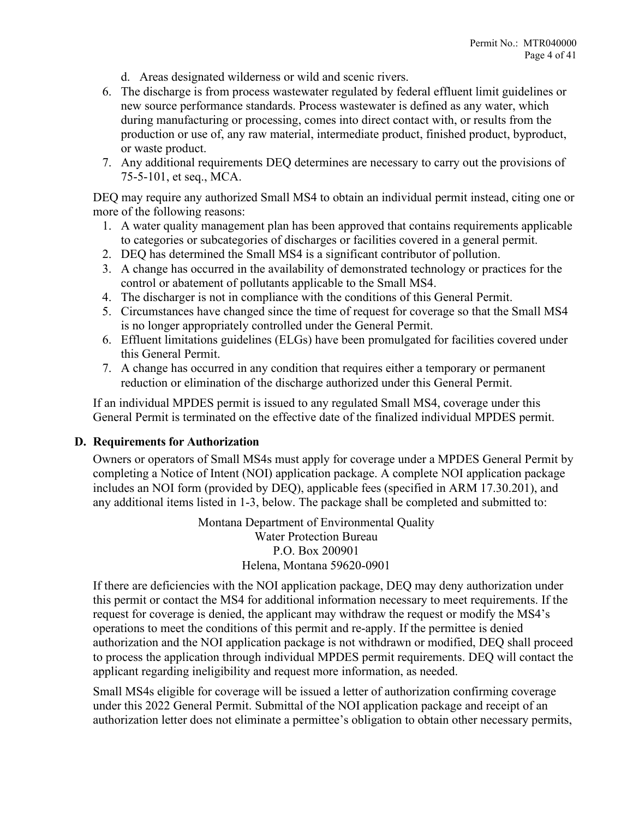- d. Areas designated wilderness or wild and scenic rivers.
- 6. The discharge is from process wastewater regulated by federal effluent limit guidelines or new source performance standards. Process wastewater is defined as any water, which during manufacturing or processing, comes into direct contact with, or results from the production or use of, any raw material, intermediate product, finished product, byproduct, or waste product.
- 7. Any additional requirements DEQ determines are necessary to carry out the provisions of 75-5-101, et seq., MCA.

DEQ may require any authorized Small MS4 to obtain an individual permit instead, citing one or more of the following reasons:

- 1. A water quality management plan has been approved that contains requirements applicable to categories or subcategories of discharges or facilities covered in a general permit.
- 2. DEQ has determined the Small MS4 is a significant contributor of pollution.
- 3. A change has occurred in the availability of demonstrated technology or practices for the control or abatement of pollutants applicable to the Small MS4.
- 4. The discharger is not in compliance with the conditions of this General Permit.
- 5. Circumstances have changed since the time of request for coverage so that the Small MS4 is no longer appropriately controlled under the General Permit.
- 6. Effluent limitations guidelines (ELGs) have been promulgated for facilities covered under this General Permit.
- 7. A change has occurred in any condition that requires either a temporary or permanent reduction or elimination of the discharge authorized under this General Permit.

If an individual MPDES permit is issued to any regulated Small MS4, coverage under this General Permit is terminated on the effective date of the finalized individual MPDES permit.

#### <span id="page-3-0"></span>**D. Requirements for Authorization**

Owners or operators of Small MS4s must apply for coverage under a MPDES General Permit by completing a Notice of Intent (NOI) application package. A complete NOI application package includes an NOI form (provided by DEQ), applicable fees (specified in ARM 17.30.201), and any additional items listed in 1-3, below. The package shall be completed and submitted to:

> Montana Department of Environmental Quality Water Protection Bureau P.O. Box 200901 Helena, Montana 59620-0901

If there are deficiencies with the NOI application package, DEQ may deny authorization under this permit or contact the MS4 for additional information necessary to meet requirements. If the request for coverage is denied, the applicant may withdraw the request or modify the MS4's operations to meet the conditions of this permit and re-apply. If the permittee is denied authorization and the NOI application package is not withdrawn or modified, DEQ shall proceed to process the application through individual MPDES permit requirements. DEQ will contact the applicant regarding ineligibility and request more information, as needed.

Small MS4s eligible for coverage will be issued a letter of authorization confirming coverage under this 2022 General Permit. Submittal of the NOI application package and receipt of an authorization letter does not eliminate a permittee's obligation to obtain other necessary permits,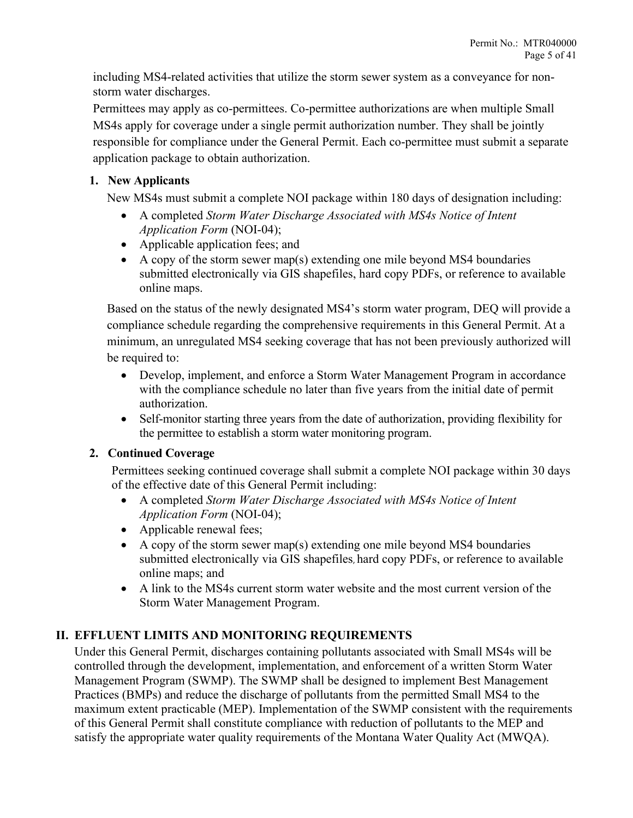including MS4-related activities that utilize the storm sewer system as a conveyance for nonstorm water discharges.

Permittees may apply as co-permittees. Co-permittee authorizations are when multiple Small MS4s apply for coverage under a single permit authorization number. They shall be jointly responsible for compliance under the General Permit. Each co-permittee must submit a separate application package to obtain authorization.

## **1. New Applicants**

New MS4s must submit a complete NOI package within 180 days of designation including:

- A completed *Storm Water Discharge Associated with MS4s Notice of Intent Application Form* (NOI-04);
- Applicable application fees; and
- A copy of the storm sewer map(s) extending one mile beyond MS4 boundaries submitted electronically via GIS shapefiles, hard copy PDFs, or reference to available online maps.

Based on the status of the newly designated MS4's storm water program, DEQ will provide a compliance schedule regarding the comprehensive requirements in this General Permit. At a minimum, an unregulated MS4 seeking coverage that has not been previously authorized will be required to:

- Develop, implement, and enforce a Storm Water Management Program in accordance with the compliance schedule no later than five years from the initial date of permit authorization.
- Self-monitor starting three years from the date of authorization, providing flexibility for the permittee to establish a storm water monitoring program.

# **2. Continued Coverage**

Permittees seeking continued coverage shall submit a complete NOI package within 30 days of the effective date of this General Permit including:

- A completed *Storm Water Discharge Associated with MS4s Notice of Intent Application Form* (NOI-04);
- Applicable renewal fees;
- A copy of the storm sewer map(s) extending one mile beyond MS4 boundaries submitted electronically via GIS shapefiles, hard copy PDFs, or reference to available online maps; and
- A link to the MS4s current storm water website and the most current version of the Storm Water Management Program.

# <span id="page-4-0"></span>**II. EFFLUENT LIMITS AND MONITORING REQUIREMENTS**

Under this General Permit, discharges containing pollutants associated with Small MS4s will be controlled through the development, implementation, and enforcement of a written Storm Water Management Program (SWMP). The SWMP shall be designed to implement Best Management Practices (BMPs) and reduce the discharge of pollutants from the permitted Small MS4 to the maximum extent practicable (MEP). Implementation of the SWMP consistent with the requirements of this General Permit shall constitute compliance with reduction of pollutants to the MEP and satisfy the appropriate water quality requirements of the Montana Water Quality Act (MWQA).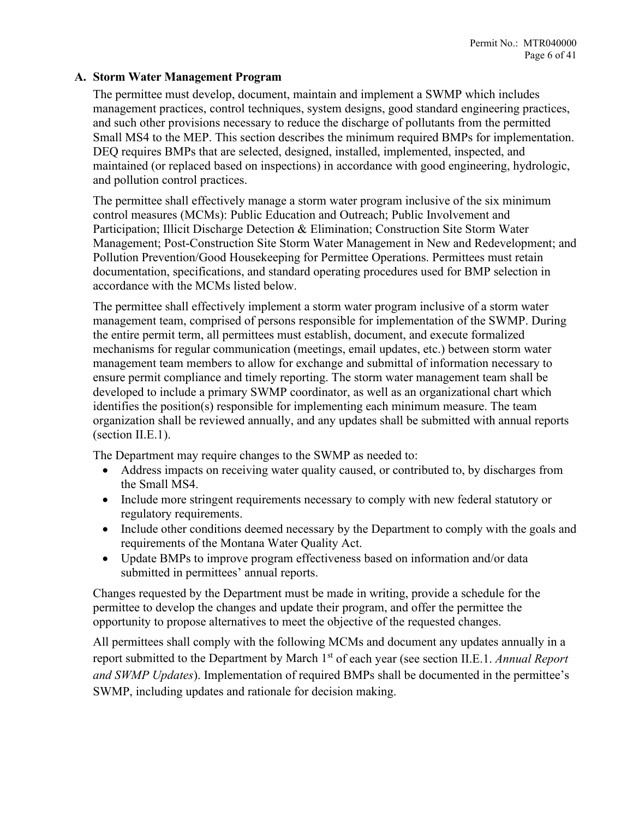#### <span id="page-5-0"></span>**A. Storm Water Management Program**

The permittee must develop, document, maintain and implement a SWMP which includes management practices, control techniques, system designs, good standard engineering practices, and such other provisions necessary to reduce the discharge of pollutants from the permitted Small MS4 to the MEP. This section describes the minimum required BMPs for implementation. DEQ requires BMPs that are selected, designed, installed, implemented, inspected, and maintained (or replaced based on inspections) in accordance with good engineering, hydrologic, and pollution control practices.

The permittee shall effectively manage a storm water program inclusive of the six minimum control measures (MCMs): Public Education and Outreach; Public Involvement and Participation; Illicit Discharge Detection & Elimination; Construction Site Storm Water Management; Post-Construction Site Storm Water Management in New and Redevelopment; and Pollution Prevention/Good Housekeeping for Permittee Operations. Permittees must retain documentation, specifications, and standard operating procedures used for BMP selection in accordance with the MCMs listed below.

The permittee shall effectively implement a storm water program inclusive of a storm water management team, comprised of persons responsible for implementation of the SWMP. During the entire permit term, all permittees must establish, document, and execute formalized mechanisms for regular communication (meetings, email updates, etc.) between storm water management team members to allow for exchange and submittal of information necessary to ensure permit compliance and timely reporting. The storm water management team shall be developed to include a primary SWMP coordinator, as well as an organizational chart which identifies the position(s) responsible for implementing each minimum measure. The team organization shall be reviewed annually, and any updates shall be submitted with annual reports (section II.E.1).

The Department may require changes to the SWMP as needed to:

- Address impacts on receiving water quality caused, or contributed to, by discharges from the Small MS4.
- Include more stringent requirements necessary to comply with new federal statutory or regulatory requirements.
- Include other conditions deemed necessary by the Department to comply with the goals and requirements of the Montana Water Quality Act.
- Update BMPs to improve program effectiveness based on information and/or data submitted in permittees' annual reports.

Changes requested by the Department must be made in writing, provide a schedule for the permittee to develop the changes and update their program, and offer the permittee the opportunity to propose alternatives to meet the objective of the requested changes.

All permittees shall comply with the following MCMs and document any updates annually in a report submitted to the Department by March 1<sup>st</sup> of each year (see section II.E.1. *Annual Report and SWMP Updates*). Implementation of required BMPs shall be documented in the permittee's SWMP, including updates and rationale for decision making.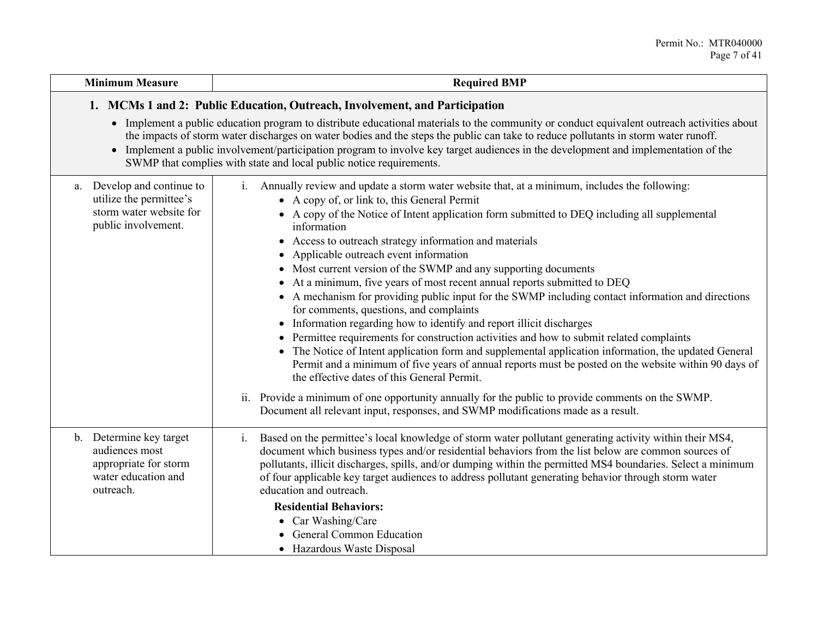| <b>Minimum Measure</b>                                                                                                                                                                                                                                                                                                                                                                                                                                                                           | <b>Required BMP</b>                                                                                                                                                                                                                                                                                                                                                                                                                                                                                                                                                                                                                                                                                                                                                                                                                                                                                                                                                                                                                                                                                                                                                                                                                                                                                                                          |  |  |
|--------------------------------------------------------------------------------------------------------------------------------------------------------------------------------------------------------------------------------------------------------------------------------------------------------------------------------------------------------------------------------------------------------------------------------------------------------------------------------------------------|----------------------------------------------------------------------------------------------------------------------------------------------------------------------------------------------------------------------------------------------------------------------------------------------------------------------------------------------------------------------------------------------------------------------------------------------------------------------------------------------------------------------------------------------------------------------------------------------------------------------------------------------------------------------------------------------------------------------------------------------------------------------------------------------------------------------------------------------------------------------------------------------------------------------------------------------------------------------------------------------------------------------------------------------------------------------------------------------------------------------------------------------------------------------------------------------------------------------------------------------------------------------------------------------------------------------------------------------|--|--|
| 1. MCMs 1 and 2: Public Education, Outreach, Involvement, and Participation                                                                                                                                                                                                                                                                                                                                                                                                                      |                                                                                                                                                                                                                                                                                                                                                                                                                                                                                                                                                                                                                                                                                                                                                                                                                                                                                                                                                                                                                                                                                                                                                                                                                                                                                                                                              |  |  |
| • Implement a public education program to distribute educational materials to the community or conduct equivalent outreach activities about<br>the impacts of storm water discharges on water bodies and the steps the public can take to reduce pollutants in storm water runoff.<br>• Implement a public involvement/participation program to involve key target audiences in the development and implementation of the<br>SWMP that complies with state and local public notice requirements. |                                                                                                                                                                                                                                                                                                                                                                                                                                                                                                                                                                                                                                                                                                                                                                                                                                                                                                                                                                                                                                                                                                                                                                                                                                                                                                                                              |  |  |
| Develop and continue to<br>a.<br>utilize the permittee's<br>storm water website for<br>public involvement.                                                                                                                                                                                                                                                                                                                                                                                       | Annually review and update a storm water website that, at a minimum, includes the following:<br>$\mathbf{i}$ .<br>• A copy of, or link to, this General Permit<br>• A copy of the Notice of Intent application form submitted to DEQ including all supplemental<br>information<br>Access to outreach strategy information and materials<br>$\bullet$<br>Applicable outreach event information<br>Most current version of the SWMP and any supporting documents<br>$\bullet$<br>At a minimum, five years of most recent annual reports submitted to DEQ<br>٠<br>• A mechanism for providing public input for the SWMP including contact information and directions<br>for comments, questions, and complaints<br>• Information regarding how to identify and report illicit discharges<br>Permittee requirements for construction activities and how to submit related complaints<br>٠<br>The Notice of Intent application form and supplemental application information, the updated General<br>Permit and a minimum of five years of annual reports must be posted on the website within 90 days of<br>the effective dates of this General Permit.<br>ii. Provide a minimum of one opportunity annually for the public to provide comments on the SWMP.<br>Document all relevant input, responses, and SWMP modifications made as a result. |  |  |
| b. Determine key target<br>audiences most<br>appropriate for storm<br>water education and<br>outreach.                                                                                                                                                                                                                                                                                                                                                                                           | Based on the permittee's local knowledge of storm water pollutant generating activity within their MS4,<br>$i$ .<br>document which business types and/or residential behaviors from the list below are common sources of<br>pollutants, illicit discharges, spills, and/or dumping within the permitted MS4 boundaries. Select a minimum<br>of four applicable key target audiences to address pollutant generating behavior through storm water<br>education and outreach.<br><b>Residential Behaviors:</b><br>Car Washing/Care<br><b>General Common Education</b><br>• Hazardous Waste Disposal                                                                                                                                                                                                                                                                                                                                                                                                                                                                                                                                                                                                                                                                                                                                            |  |  |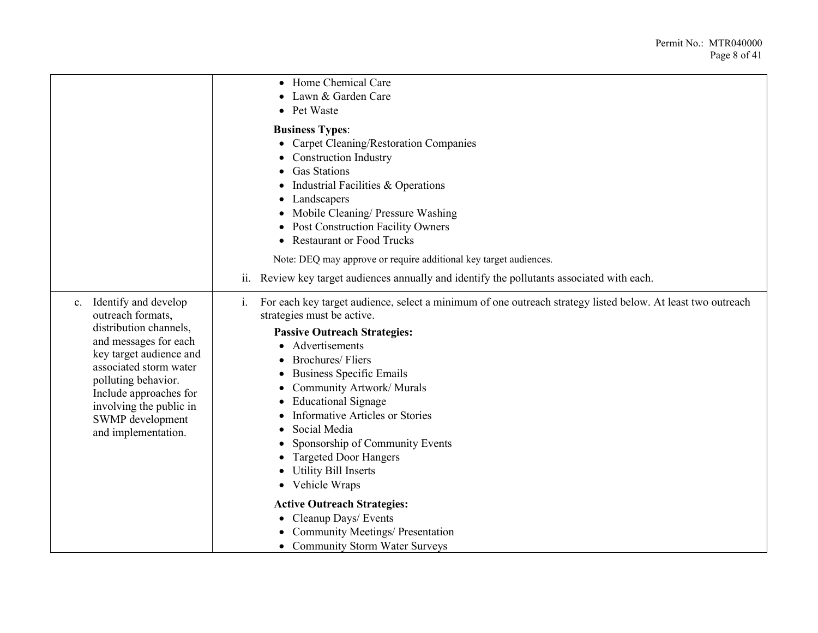|                                                                                                                                                                                                                                                                             | • Home Chemical Care<br>Lawn & Garden Care<br>• Pet Waste                                                                                                                                                                                                                                                                                                                                                                                                                                                                     |
|-----------------------------------------------------------------------------------------------------------------------------------------------------------------------------------------------------------------------------------------------------------------------------|-------------------------------------------------------------------------------------------------------------------------------------------------------------------------------------------------------------------------------------------------------------------------------------------------------------------------------------------------------------------------------------------------------------------------------------------------------------------------------------------------------------------------------|
|                                                                                                                                                                                                                                                                             | <b>Business Types:</b><br>• Carpet Cleaning/Restoration Companies<br><b>Construction Industry</b><br><b>Gas Stations</b><br>Industrial Facilities & Operations<br>• Landscapers<br>• Mobile Cleaning/ Pressure Washing<br><b>Post Construction Facility Owners</b><br>$\bullet$<br>• Restaurant or Food Trucks<br>Note: DEQ may approve or require additional key target audiences.<br>ii. Review key target audiences annually and identify the pollutants associated with each.                                             |
| c. Identify and develop<br>outreach formats,<br>distribution channels,<br>and messages for each<br>key target audience and<br>associated storm water<br>polluting behavior.<br>Include approaches for<br>involving the public in<br>SWMP development<br>and implementation. | For each key target audience, select a minimum of one outreach strategy listed below. At least two outreach<br>$\mathbf{i}$ .<br>strategies must be active.<br><b>Passive Outreach Strategies:</b><br>• Advertisements<br><b>Brochures/Fliers</b><br><b>Business Specific Emails</b><br>Community Artwork/Murals<br><b>Educational Signage</b><br><b>Informative Articles or Stories</b><br>Social Media<br>Sponsorship of Community Events<br><b>Targeted Door Hangers</b><br><b>Utility Bill Inserts</b><br>• Vehicle Wraps |
|                                                                                                                                                                                                                                                                             | <b>Active Outreach Strategies:</b><br>• Cleanup Days/ Events<br><b>Community Meetings/ Presentation</b><br>• Community Storm Water Surveys                                                                                                                                                                                                                                                                                                                                                                                    |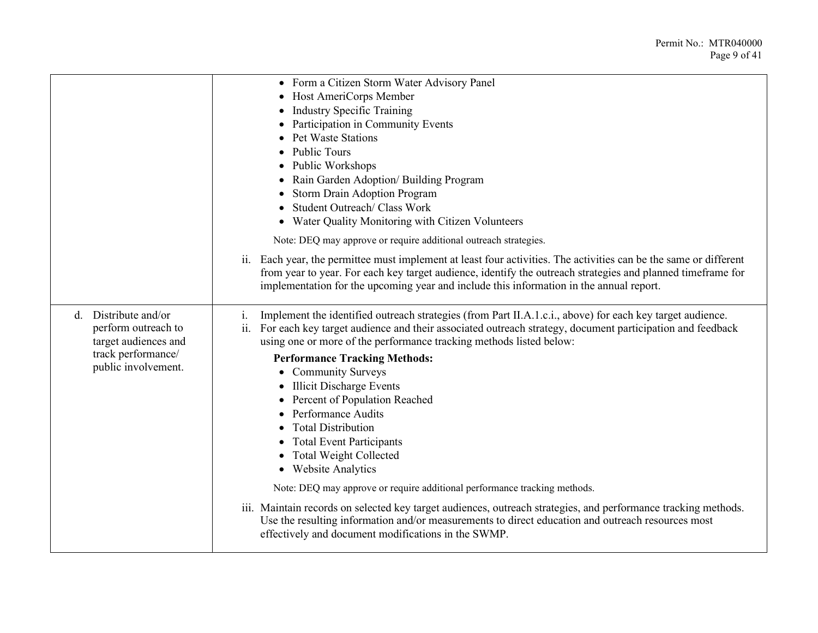|                                                                        | • Form a Citizen Storm Water Advisory Panel                                                                                                                                                                                                                                                                                 |
|------------------------------------------------------------------------|-----------------------------------------------------------------------------------------------------------------------------------------------------------------------------------------------------------------------------------------------------------------------------------------------------------------------------|
|                                                                        | • Host AmeriCorps Member                                                                                                                                                                                                                                                                                                    |
|                                                                        | • Industry Specific Training                                                                                                                                                                                                                                                                                                |
|                                                                        | Participation in Community Events<br>٠                                                                                                                                                                                                                                                                                      |
|                                                                        | <b>Pet Waste Stations</b>                                                                                                                                                                                                                                                                                                   |
|                                                                        | • Public Tours                                                                                                                                                                                                                                                                                                              |
|                                                                        | • Public Workshops                                                                                                                                                                                                                                                                                                          |
|                                                                        | • Rain Garden Adoption/ Building Program                                                                                                                                                                                                                                                                                    |
|                                                                        | <b>Storm Drain Adoption Program</b>                                                                                                                                                                                                                                                                                         |
|                                                                        | Student Outreach/ Class Work                                                                                                                                                                                                                                                                                                |
|                                                                        | • Water Quality Monitoring with Citizen Volunteers                                                                                                                                                                                                                                                                          |
|                                                                        | Note: DEQ may approve or require additional outreach strategies.                                                                                                                                                                                                                                                            |
|                                                                        | ii. Each year, the permittee must implement at least four activities. The activities can be the same or different<br>from year to year. For each key target audience, identify the outreach strategies and planned timeframe for<br>implementation for the upcoming year and include this information in the annual report. |
| Distribute and/or<br>d.<br>perform outreach to<br>target audiences and | Implement the identified outreach strategies (from Part II.A.1.c.i., above) for each key target audience.<br>1.<br>ii.<br>For each key target audience and their associated outreach strategy, document participation and feedback<br>using one or more of the performance tracking methods listed below:                   |
| track performance/                                                     | <b>Performance Tracking Methods:</b>                                                                                                                                                                                                                                                                                        |
| public involvement.                                                    | • Community Surveys                                                                                                                                                                                                                                                                                                         |
|                                                                        | • Illicit Discharge Events                                                                                                                                                                                                                                                                                                  |
|                                                                        | • Percent of Population Reached                                                                                                                                                                                                                                                                                             |
|                                                                        | • Performance Audits                                                                                                                                                                                                                                                                                                        |
|                                                                        | <b>Total Distribution</b>                                                                                                                                                                                                                                                                                                   |
|                                                                        | • Total Event Participants                                                                                                                                                                                                                                                                                                  |
|                                                                        | • Total Weight Collected                                                                                                                                                                                                                                                                                                    |
|                                                                        | • Website Analytics                                                                                                                                                                                                                                                                                                         |
|                                                                        | Note: DEQ may approve or require additional performance tracking methods.                                                                                                                                                                                                                                                   |
|                                                                        | iii. Maintain records on selected key target audiences, outreach strategies, and performance tracking methods.<br>Use the resulting information and/or measurements to direct education and outreach resources most<br>effectively and document modifications in the SWMP.                                                  |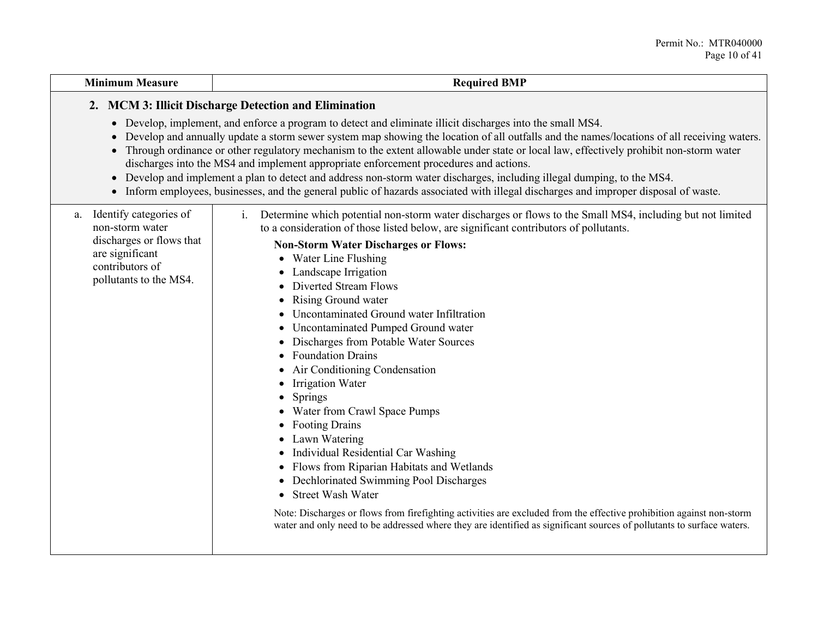| <b>Minimum Measure</b>                                                                                                                      | <b>Required BMP</b>                                                                                                                                                                                                                                                                                                                                                                                                                                                                                                                                                                                                                                                                                                                                                                                                                                                                                                                                                                                                                                                                                                                                                                                     |
|---------------------------------------------------------------------------------------------------------------------------------------------|---------------------------------------------------------------------------------------------------------------------------------------------------------------------------------------------------------------------------------------------------------------------------------------------------------------------------------------------------------------------------------------------------------------------------------------------------------------------------------------------------------------------------------------------------------------------------------------------------------------------------------------------------------------------------------------------------------------------------------------------------------------------------------------------------------------------------------------------------------------------------------------------------------------------------------------------------------------------------------------------------------------------------------------------------------------------------------------------------------------------------------------------------------------------------------------------------------|
|                                                                                                                                             | 2. MCM 3: Illicit Discharge Detection and Elimination<br>• Develop, implement, and enforce a program to detect and eliminate illicit discharges into the small MS4.<br>• Develop and annually update a storm sewer system map showing the location of all outfalls and the names/locations of all receiving waters.                                                                                                                                                                                                                                                                                                                                                                                                                                                                                                                                                                                                                                                                                                                                                                                                                                                                                     |
|                                                                                                                                             | • Through ordinance or other regulatory mechanism to the extent allowable under state or local law, effectively prohibit non-storm water<br>discharges into the MS4 and implement appropriate enforcement procedures and actions.<br>• Develop and implement a plan to detect and address non-storm water discharges, including illegal dumping, to the MS4.<br>• Inform employees, businesses, and the general public of hazards associated with illegal discharges and improper disposal of waste.                                                                                                                                                                                                                                                                                                                                                                                                                                                                                                                                                                                                                                                                                                    |
| Identify categories of<br>a.<br>non-storm water<br>discharges or flows that<br>are significant<br>contributors of<br>pollutants to the MS4. | Determine which potential non-storm water discharges or flows to the Small MS4, including but not limited<br>$\mathbf{i}$ .<br>to a consideration of those listed below, are significant contributors of pollutants.<br><b>Non-Storm Water Discharges or Flows:</b><br>• Water Line Flushing<br>• Landscape Irrigation<br>Diverted Stream Flows<br>Rising Ground water<br>$\bullet$<br>Uncontaminated Ground water Infiltration<br>Uncontaminated Pumped Ground water<br>$\bullet$<br>Discharges from Potable Water Sources<br>$\bullet$<br><b>Foundation Drains</b><br>• Air Conditioning Condensation<br><b>Irrigation Water</b><br>٠<br>Springs<br>$\bullet$<br>Water from Crawl Space Pumps<br><b>Footing Drains</b><br>Lawn Watering<br>$\bullet$<br>Individual Residential Car Washing<br>$\bullet$<br>Flows from Riparian Habitats and Wetlands<br>Dechlorinated Swimming Pool Discharges<br>$\bullet$<br><b>Street Wash Water</b><br>$\bullet$<br>Note: Discharges or flows from firefighting activities are excluded from the effective prohibition against non-storm<br>water and only need to be addressed where they are identified as significant sources of pollutants to surface waters. |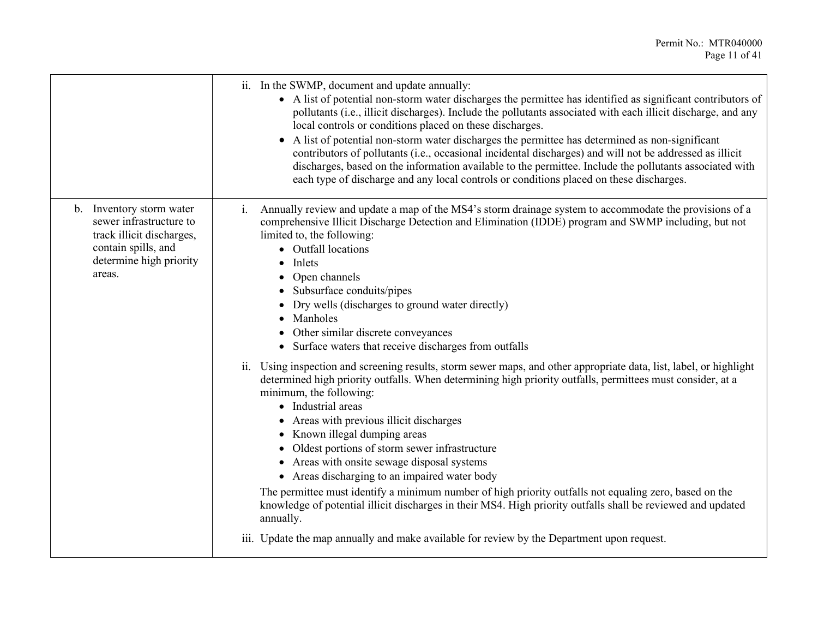|                                                                                                                                              | ii. In the SWMP, document and update annually:<br>• A list of potential non-storm water discharges the permittee has identified as significant contributors of<br>pollutants (i.e., illicit discharges). Include the pollutants associated with each illicit discharge, and any<br>local controls or conditions placed on these discharges.<br>A list of potential non-storm water discharges the permittee has determined as non-significant<br>contributors of pollutants (i.e., occasional incidental discharges) and will not be addressed as illicit<br>discharges, based on the information available to the permittee. Include the pollutants associated with<br>each type of discharge and any local controls or conditions placed on these discharges.                                                                                            |
|----------------------------------------------------------------------------------------------------------------------------------------------|------------------------------------------------------------------------------------------------------------------------------------------------------------------------------------------------------------------------------------------------------------------------------------------------------------------------------------------------------------------------------------------------------------------------------------------------------------------------------------------------------------------------------------------------------------------------------------------------------------------------------------------------------------------------------------------------------------------------------------------------------------------------------------------------------------------------------------------------------------|
| b. Inventory storm water<br>sewer infrastructure to<br>track illicit discharges,<br>contain spills, and<br>determine high priority<br>areas. | Annually review and update a map of the MS4's storm drainage system to accommodate the provisions of a<br>1.<br>comprehensive Illicit Discharge Detection and Elimination (IDDE) program and SWMP including, but not<br>limited to, the following:<br>• Outfall locations<br>$\bullet$ Inlets<br>• Open channels<br>• Subsurface conduits/pipes<br>• Dry wells (discharges to ground water directly)<br>• Manholes<br>• Other similar discrete conveyances<br>• Surface waters that receive discharges from outfalls                                                                                                                                                                                                                                                                                                                                       |
|                                                                                                                                              | Using inspection and screening results, storm sewer maps, and other appropriate data, list, label, or highlight<br>ii.<br>determined high priority outfalls. When determining high priority outfalls, permittees must consider, at a<br>minimum, the following:<br>• Industrial areas<br>• Areas with previous illicit discharges<br>• Known illegal dumping areas<br>• Oldest portions of storm sewer infrastructure<br>• Areas with onsite sewage disposal systems<br>• Areas discharging to an impaired water body<br>The permittee must identify a minimum number of high priority outfalls not equaling zero, based on the<br>knowledge of potential illicit discharges in their MS4. High priority outfalls shall be reviewed and updated<br>annually.<br>iii. Update the map annually and make available for review by the Department upon request. |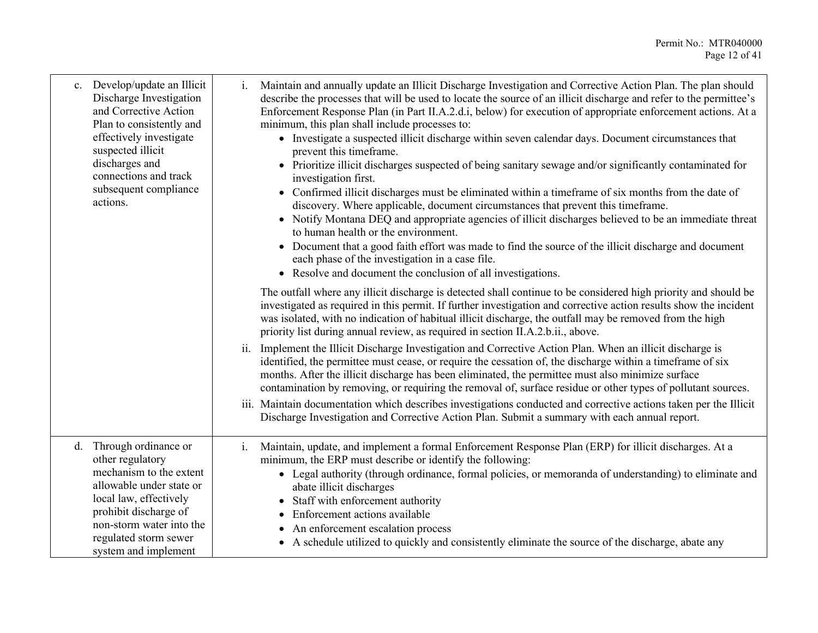| c. | Develop/update an Illicit<br>Discharge Investigation<br>and Corrective Action<br>Plan to consistently and<br>effectively investigate<br>suspected illicit<br>discharges and<br>connections and track<br>subsequent compliance<br>actions. | Maintain and annually update an Illicit Discharge Investigation and Corrective Action Plan. The plan should<br>$\mathbf{i}$ .<br>describe the processes that will be used to locate the source of an illicit discharge and refer to the permittee's<br>Enforcement Response Plan (in Part II.A.2.d.i, below) for execution of appropriate enforcement actions. At a<br>minimum, this plan shall include processes to:<br>• Investigate a suspected illicit discharge within seven calendar days. Document circumstances that<br>prevent this timeframe.<br>• Prioritize illicit discharges suspected of being sanitary sewage and/or significantly contaminated for<br>investigation first.<br>• Confirmed illicit discharges must be eliminated within a timeframe of six months from the date of<br>discovery. Where applicable, document circumstances that prevent this timeframe.<br>• Notify Montana DEQ and appropriate agencies of illicit discharges believed to be an immediate threat<br>to human health or the environment.<br>• Document that a good faith effort was made to find the source of the illicit discharge and document<br>each phase of the investigation in a case file.<br>• Resolve and document the conclusion of all investigations.<br>The outfall where any illicit discharge is detected shall continue to be considered high priority and should be<br>investigated as required in this permit. If further investigation and corrective action results show the incident<br>was isolated, with no indication of habitual illicit discharge, the outfall may be removed from the high<br>priority list during annual review, as required in section II.A.2.b.ii., above.<br>ii.<br>Implement the Illicit Discharge Investigation and Corrective Action Plan. When an illicit discharge is<br>identified, the permittee must cease, or require the cessation of, the discharge within a timeframe of six |
|----|-------------------------------------------------------------------------------------------------------------------------------------------------------------------------------------------------------------------------------------------|-------------------------------------------------------------------------------------------------------------------------------------------------------------------------------------------------------------------------------------------------------------------------------------------------------------------------------------------------------------------------------------------------------------------------------------------------------------------------------------------------------------------------------------------------------------------------------------------------------------------------------------------------------------------------------------------------------------------------------------------------------------------------------------------------------------------------------------------------------------------------------------------------------------------------------------------------------------------------------------------------------------------------------------------------------------------------------------------------------------------------------------------------------------------------------------------------------------------------------------------------------------------------------------------------------------------------------------------------------------------------------------------------------------------------------------------------------------------------------------------------------------------------------------------------------------------------------------------------------------------------------------------------------------------------------------------------------------------------------------------------------------------------------------------------------------------------------------------------------------------------------------------------------------------------------------------|
|    |                                                                                                                                                                                                                                           | months. After the illicit discharge has been eliminated, the permittee must also minimize surface<br>contamination by removing, or requiring the removal of, surface residue or other types of pollutant sources.<br>iii. Maintain documentation which describes investigations conducted and corrective actions taken per the Illicit<br>Discharge Investigation and Corrective Action Plan. Submit a summary with each annual report.                                                                                                                                                                                                                                                                                                                                                                                                                                                                                                                                                                                                                                                                                                                                                                                                                                                                                                                                                                                                                                                                                                                                                                                                                                                                                                                                                                                                                                                                                                   |
|    | d. Through ordinance or<br>other regulatory<br>mechanism to the extent<br>allowable under state or<br>local law, effectively<br>prohibit discharge of<br>non-storm water into the<br>regulated storm sewer<br>system and implement        | i.<br>Maintain, update, and implement a formal Enforcement Response Plan (ERP) for illicit discharges. At a<br>minimum, the ERP must describe or identify the following:<br>• Legal authority (through ordinance, formal policies, or memoranda of understanding) to eliminate and<br>abate illicit discharges<br>Staff with enforcement authority<br>Enforcement actions available<br>An enforcement escalation process<br>• A schedule utilized to quickly and consistently eliminate the source of the discharge, abate any                                                                                                                                                                                                                                                                                                                                                                                                                                                                                                                                                                                                                                                                                                                                                                                                                                                                                                                                                                                                                                                                                                                                                                                                                                                                                                                                                                                                            |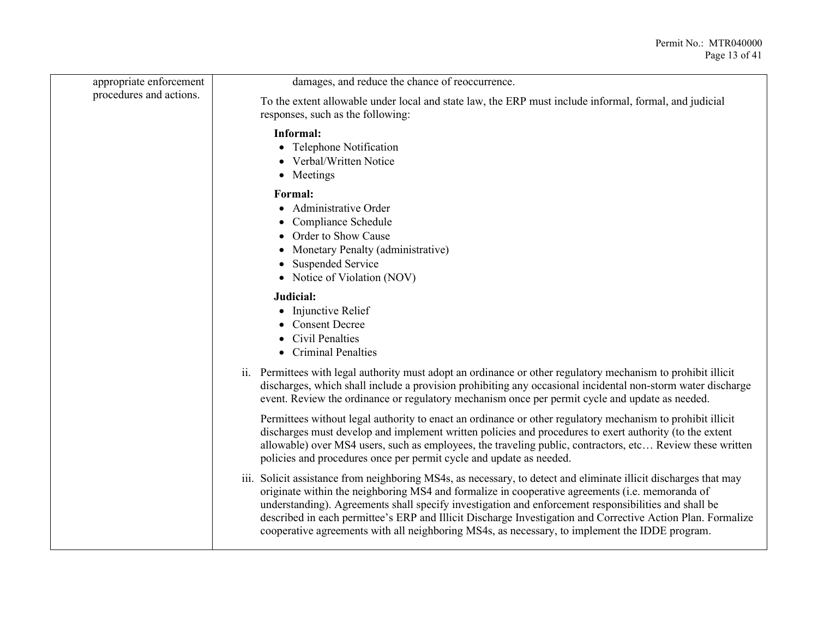| appropriate enforcement | damages, and reduce the chance of reoccurrence.                                                                                                                                                                                                                                                                                                                                                                                                                                                                                              |
|-------------------------|----------------------------------------------------------------------------------------------------------------------------------------------------------------------------------------------------------------------------------------------------------------------------------------------------------------------------------------------------------------------------------------------------------------------------------------------------------------------------------------------------------------------------------------------|
| procedures and actions. | To the extent allowable under local and state law, the ERP must include informal, formal, and judicial<br>responses, such as the following:                                                                                                                                                                                                                                                                                                                                                                                                  |
|                         | Informal:<br>• Telephone Notification<br>• Verbal/Written Notice<br>• Meetings                                                                                                                                                                                                                                                                                                                                                                                                                                                               |
|                         | Formal:<br>• Administrative Order<br>• Compliance Schedule<br>• Order to Show Cause<br>• Monetary Penalty (administrative)<br>• Suspended Service<br>• Notice of Violation (NOV)                                                                                                                                                                                                                                                                                                                                                             |
|                         | Judicial:<br>• Injunctive Relief<br>• Consent Decree<br>• Civil Penalties<br>• Criminal Penalties                                                                                                                                                                                                                                                                                                                                                                                                                                            |
|                         | ii. Permittees with legal authority must adopt an ordinance or other regulatory mechanism to prohibit illicit<br>discharges, which shall include a provision prohibiting any occasional incidental non-storm water discharge<br>event. Review the ordinance or regulatory mechanism once per permit cycle and update as needed.                                                                                                                                                                                                              |
|                         | Permittees without legal authority to enact an ordinance or other regulatory mechanism to prohibit illicit<br>discharges must develop and implement written policies and procedures to exert authority (to the extent<br>allowable) over MS4 users, such as employees, the traveling public, contractors, etc Review these written<br>policies and procedures once per permit cycle and update as needed.                                                                                                                                    |
|                         | iii. Solicit assistance from neighboring MS4s, as necessary, to detect and eliminate illicit discharges that may<br>originate within the neighboring MS4 and formalize in cooperative agreements (i.e. memoranda of<br>understanding). Agreements shall specify investigation and enforcement responsibilities and shall be<br>described in each permittee's ERP and Illicit Discharge Investigation and Corrective Action Plan. Formalize<br>cooperative agreements with all neighboring MS4s, as necessary, to implement the IDDE program. |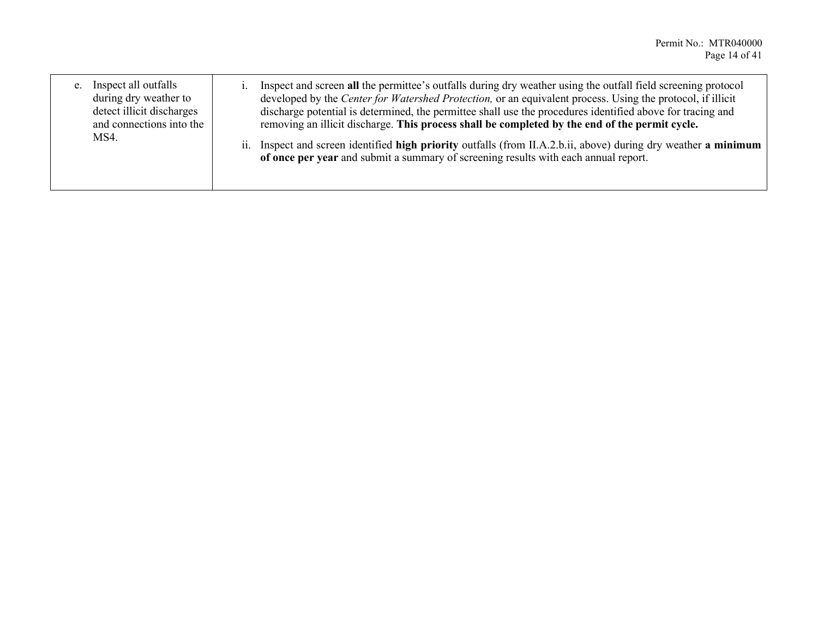| Inspect all outfalls<br>e.<br>during dry weather to<br>detect illicit discharges<br>and connections into the<br>MS4. | Inspect and screen all the permittee's outfalls during dry weather using the outfall field screening protocol<br>developed by the <i>Center for Watershed Protection</i> , or an equivalent process. Using the protocol, if illicit<br>discharge potential is determined, the permittee shall use the procedures identified above for tracing and<br>removing an illicit discharge. This process shall be completed by the end of the permit cycle. |
|----------------------------------------------------------------------------------------------------------------------|-----------------------------------------------------------------------------------------------------------------------------------------------------------------------------------------------------------------------------------------------------------------------------------------------------------------------------------------------------------------------------------------------------------------------------------------------------|
|                                                                                                                      | Inspect and screen identified high priority outfalls (from II.A.2.b.ii, above) during dry weather a minimum<br>11.<br>of once per year and submit a summary of screening results with each annual report.                                                                                                                                                                                                                                           |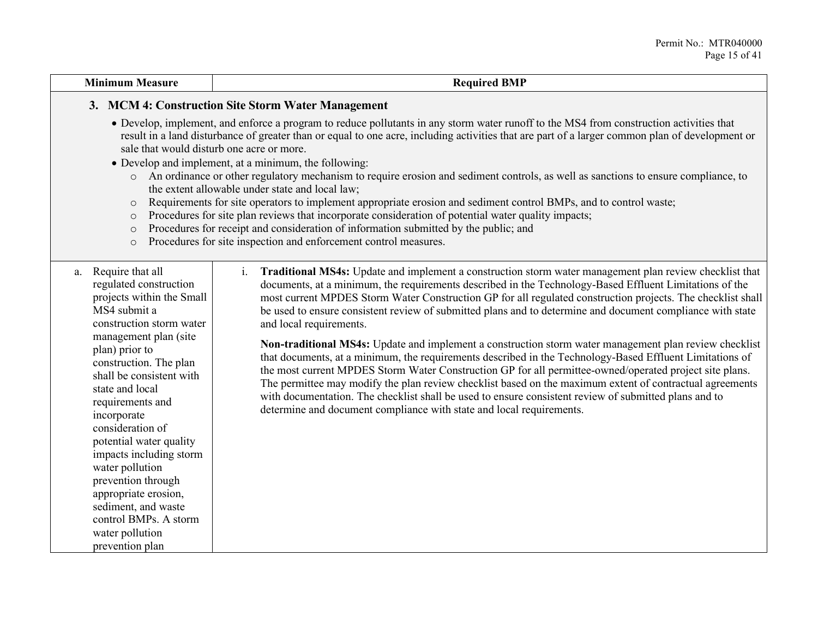#### **Minimum Measure Required BMP**

#### **3. MCM 4: Construction Site Storm Water Management**

- Develop, implement, and enforce a program to reduce pollutants in any storm water runoff to the MS4 from construction activities that result in a land disturbance of greater than or equal to one acre, including activities that are part of a larger common plan of development or sale that would disturb one acre or more.
- Develop and implement, at a minimum, the following:
	- o An ordinance or other regulatory mechanism to require erosion and sediment controls, as well as sanctions to ensure compliance, to the extent allowable under state and local law;
	- o Requirements for site operators to implement appropriate erosion and sediment control BMPs, and to control waste;
	- o Procedures for site plan reviews that incorporate consideration of potential water quality impacts;
	- o Procedures for receipt and consideration of information submitted by the public; and
	- o Procedures for site inspection and enforcement control measures.

a. Require that all regulated construction projects within the Small MS4 submit a construction storm water management plan (site plan) prior to construction. The plan shall be consistent with state and local requirements and incorporate consideration of potential water quality impacts including storm water pollution prevention through appropriate erosion, sediment, and waste control BMPs. A storm water pollution prevention plan

i. **Traditional MS4s:** Update and implement a construction storm water management plan review checklist that documents, at a minimum, the requirements described in the Technology-Based Effluent Limitations of the most current MPDES Storm Water Construction GP for all regulated construction projects. The checklist shall be used to ensure consistent review of submitted plans and to determine and document compliance with state and local requirements.

**Non-traditional MS4s:** Update and implement a construction storm water management plan review checklist that documents, at a minimum, the requirements described in the Technology-Based Effluent Limitations of the most current MPDES Storm Water Construction GP for all permittee-owned/operated project site plans. The permittee may modify the plan review checklist based on the maximum extent of contractual agreements with documentation. The checklist shall be used to ensure consistent review of submitted plans and to determine and document compliance with state and local requirements.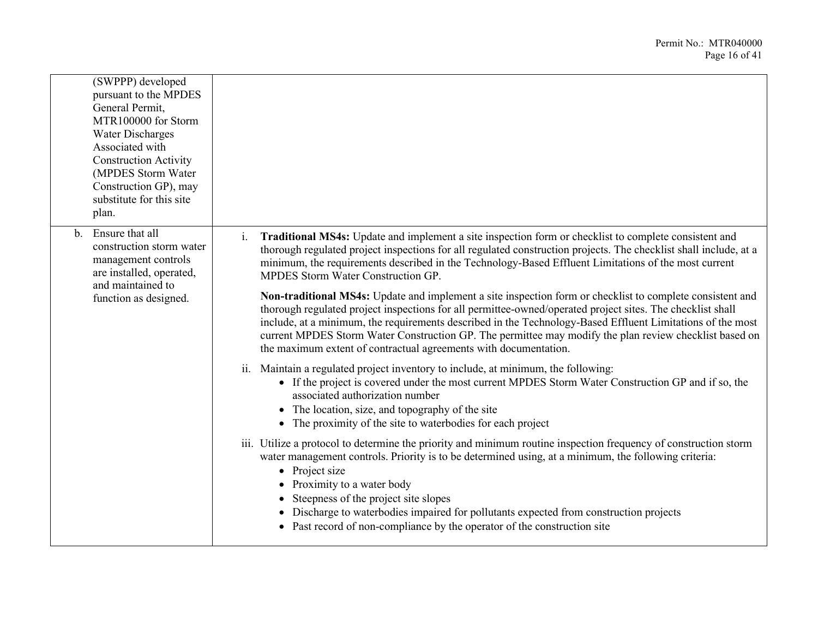| (SWPPP) developed<br>pursuant to the MPDES<br>General Permit,<br>MTR100000 for Storm<br><b>Water Discharges</b><br>Associated with<br><b>Construction Activity</b><br>(MPDES Storm Water<br>Construction GP), may<br>substitute for this site<br>plan. |                                                                                                                                                                                                                                                                                                                                                                                                                                                                                                                                                                                                                                                                                                                                                                                                                                                                                                                          |
|--------------------------------------------------------------------------------------------------------------------------------------------------------------------------------------------------------------------------------------------------------|--------------------------------------------------------------------------------------------------------------------------------------------------------------------------------------------------------------------------------------------------------------------------------------------------------------------------------------------------------------------------------------------------------------------------------------------------------------------------------------------------------------------------------------------------------------------------------------------------------------------------------------------------------------------------------------------------------------------------------------------------------------------------------------------------------------------------------------------------------------------------------------------------------------------------|
| Ensure that all<br>$h_{-}$<br>construction storm water<br>management controls<br>are installed, operated,<br>and maintained to<br>function as designed.                                                                                                | <b>Traditional MS4s:</b> Update and implement a site inspection form or checklist to complete consistent and<br>$\mathbf{1}$ .<br>thorough regulated project inspections for all regulated construction projects. The checklist shall include, at a<br>minimum, the requirements described in the Technology-Based Effluent Limitations of the most current<br>MPDES Storm Water Construction GP.<br>Non-traditional MS4s: Update and implement a site inspection form or checklist to complete consistent and<br>thorough regulated project inspections for all permittee-owned/operated project sites. The checklist shall<br>include, at a minimum, the requirements described in the Technology-Based Effluent Limitations of the most<br>current MPDES Storm Water Construction GP. The permittee may modify the plan review checklist based on<br>the maximum extent of contractual agreements with documentation. |
|                                                                                                                                                                                                                                                        | ii. Maintain a regulated project inventory to include, at minimum, the following:<br>• If the project is covered under the most current MPDES Storm Water Construction GP and if so, the<br>associated authorization number<br>• The location, size, and topography of the site<br>• The proximity of the site to waterbodies for each project                                                                                                                                                                                                                                                                                                                                                                                                                                                                                                                                                                           |
|                                                                                                                                                                                                                                                        | iii. Utilize a protocol to determine the priority and minimum routine inspection frequency of construction storm<br>water management controls. Priority is to be determined using, at a minimum, the following criteria:<br>• Project size<br>• Proximity to a water body<br>• Steepness of the project site slopes<br>• Discharge to waterbodies impaired for pollutants expected from construction projects<br>• Past record of non-compliance by the operator of the construction site                                                                                                                                                                                                                                                                                                                                                                                                                                |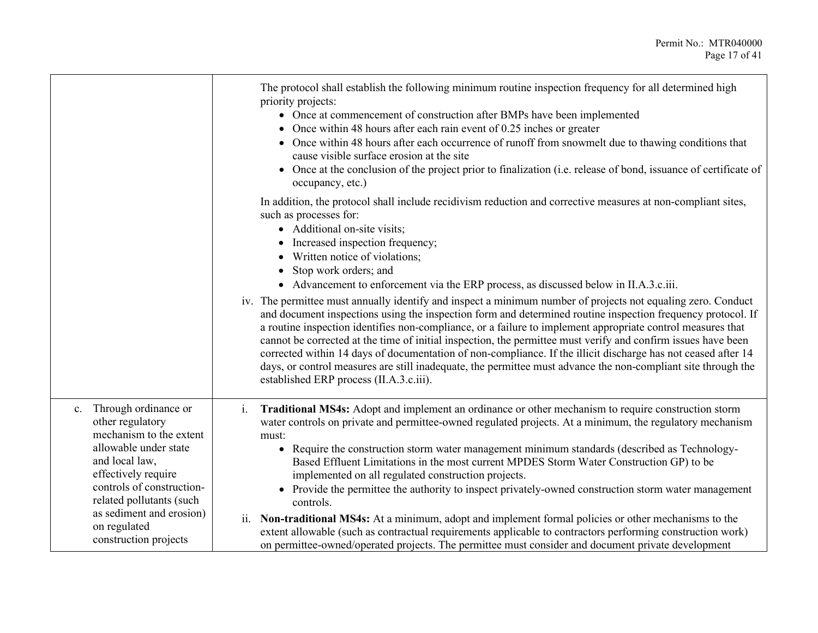|                                                                                                                                                                                                                                                                           | The protocol shall establish the following minimum routine inspection frequency for all determined high<br>priority projects:<br>• Once at commencement of construction after BMPs have been implemented<br>• Once within 48 hours after each rain event of $0.25$ inches or greater<br>Once within 48 hours after each occurrence of runoff from snowmelt due to thawing conditions that<br>cause visible surface erosion at the site<br>Once at the conclusion of the project prior to finalization (i.e. release of bond, issuance of certificate of<br>occupancy, etc.)                                                                                                                                                                                                                                                                                                                                                                                                                                                                                                                              |
|---------------------------------------------------------------------------------------------------------------------------------------------------------------------------------------------------------------------------------------------------------------------------|----------------------------------------------------------------------------------------------------------------------------------------------------------------------------------------------------------------------------------------------------------------------------------------------------------------------------------------------------------------------------------------------------------------------------------------------------------------------------------------------------------------------------------------------------------------------------------------------------------------------------------------------------------------------------------------------------------------------------------------------------------------------------------------------------------------------------------------------------------------------------------------------------------------------------------------------------------------------------------------------------------------------------------------------------------------------------------------------------------|
|                                                                                                                                                                                                                                                                           | In addition, the protocol shall include recidivism reduction and corrective measures at non-compliant sites,<br>such as processes for:<br>• Additional on-site visits;<br>Increased inspection frequency;<br>Written notice of violations;<br>Stop work orders; and<br>• Advancement to enforcement via the ERP process, as discussed below in II.A.3.c.iii.<br>iv. The permittee must annually identify and inspect a minimum number of projects not equaling zero. Conduct<br>and document inspections using the inspection form and determined routine inspection frequency protocol. If<br>a routine inspection identifies non-compliance, or a failure to implement appropriate control measures that<br>cannot be corrected at the time of initial inspection, the permittee must verify and confirm issues have been<br>corrected within 14 days of documentation of non-compliance. If the illicit discharge has not ceased after 14<br>days, or control measures are still inadequate, the permittee must advance the non-compliant site through the<br>established ERP process (II.A.3.c.iii). |
| Through ordinance or<br>c.<br>other regulatory<br>mechanism to the extent<br>allowable under state<br>and local law,<br>effectively require<br>controls of construction-<br>related pollutants (such<br>as sediment and erosion)<br>on regulated<br>construction projects | Traditional MS4s: Adopt and implement an ordinance or other mechanism to require construction storm<br>$\mathbf{i}$ .<br>water controls on private and permittee-owned regulated projects. At a minimum, the regulatory mechanism<br>must:<br>• Require the construction storm water management minimum standards (described as Technology-<br>Based Effluent Limitations in the most current MPDES Storm Water Construction GP) to be<br>implemented on all regulated construction projects.<br>Provide the permittee the authority to inspect privately-owned construction storm water management<br>controls.<br>Non-traditional MS4s: At a minimum, adopt and implement formal policies or other mechanisms to the<br>ii.<br>extent allowable (such as contractual requirements applicable to contractors performing construction work)<br>on permittee-owned/operated projects. The permittee must consider and document private development                                                                                                                                                        |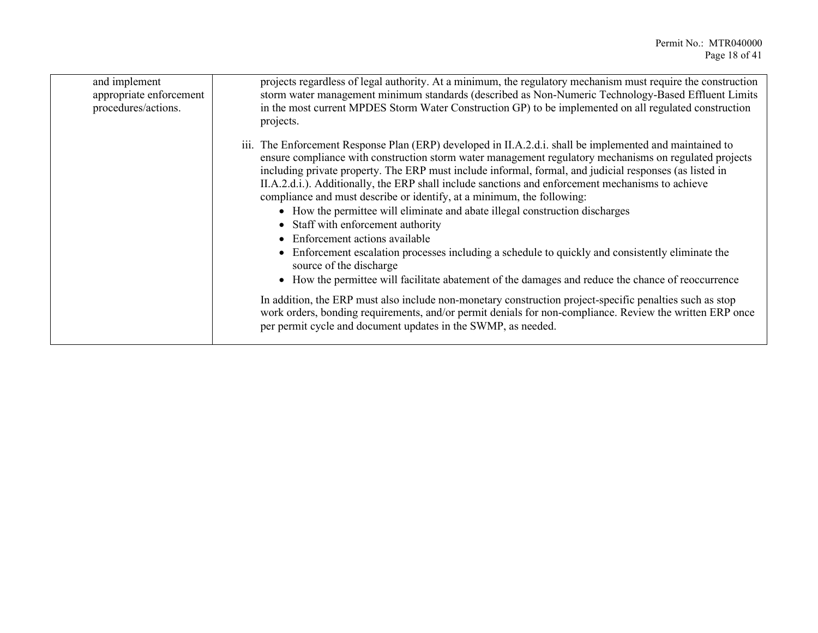| and implement<br>appropriate enforcement<br>procedures/actions. | projects regardless of legal authority. At a minimum, the regulatory mechanism must require the construction<br>storm water management minimum standards (described as Non-Numeric Technology-Based Effluent Limits<br>in the most current MPDES Storm Water Construction GP) to be implemented on all regulated construction<br>projects.                                                                                                                                                                                                                                                                                                                                                                                                                                                                                                                                                                                                                                                                                                                                                                                                                                                           |
|-----------------------------------------------------------------|------------------------------------------------------------------------------------------------------------------------------------------------------------------------------------------------------------------------------------------------------------------------------------------------------------------------------------------------------------------------------------------------------------------------------------------------------------------------------------------------------------------------------------------------------------------------------------------------------------------------------------------------------------------------------------------------------------------------------------------------------------------------------------------------------------------------------------------------------------------------------------------------------------------------------------------------------------------------------------------------------------------------------------------------------------------------------------------------------------------------------------------------------------------------------------------------------|
|                                                                 | iii. The Enforcement Response Plan (ERP) developed in II.A.2.d.i. shall be implemented and maintained to<br>ensure compliance with construction storm water management regulatory mechanisms on regulated projects<br>including private property. The ERP must include informal, formal, and judicial responses (as listed in<br>II.A.2.d.i.). Additionally, the ERP shall include sanctions and enforcement mechanisms to achieve<br>compliance and must describe or identify, at a minimum, the following:<br>• How the permittee will eliminate and abate illegal construction discharges<br>• Staff with enforcement authority<br>• Enforcement actions available<br>• Enforcement escalation processes including a schedule to quickly and consistently eliminate the<br>source of the discharge<br>• How the permittee will facilitate abatement of the damages and reduce the chance of reoccurrence<br>In addition, the ERP must also include non-monetary construction project-specific penalties such as stop<br>work orders, bonding requirements, and/or permit denials for non-compliance. Review the written ERP once<br>per permit cycle and document updates in the SWMP, as needed. |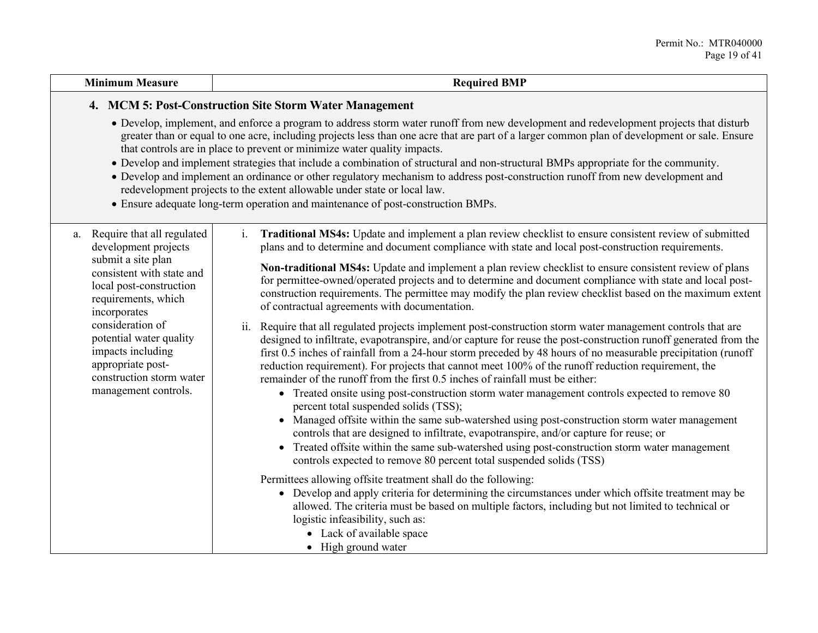#### **Minimum Measure Required BMP**

#### **4. MCM 5: Post-Construction Site Storm Water Management**

- Develop, implement, and enforce a program to address storm water runoff from new development and redevelopment projects that disturb greater than or equal to one acre, including projects less than one acre that are part of a larger common plan of development or sale. Ensure that controls are in place to prevent or minimize water quality impacts.
- Develop and implement strategies that include a combination of structural and non-structural BMPs appropriate for the community.
- Develop and implement an ordinance or other regulatory mechanism to address post-construction runoff from new development and redevelopment projects to the extent allowable under state or local law.
- Ensure adequate long-term operation and maintenance of post-construction BMPs.

| a. | Require that all regulated |  |  |
|----|----------------------------|--|--|
|    | development projects       |  |  |
|    | submit a site plan         |  |  |
|    | consistent with state and  |  |  |
|    | local post-construction    |  |  |
|    | requirements, which        |  |  |
|    | incorporates               |  |  |
|    | consideration of           |  |  |
|    | potential water quality    |  |  |
|    | impacts including          |  |  |
|    | appropriate post-          |  |  |
|    | construction storm water   |  |  |
|    | management controls.       |  |  |
|    |                            |  |  |

i. **Traditional MS4s:** Update and implement a plan review checklist to ensure consistent review of submitted plans and to determine and document compliance with state and local post-construction requirements.

**Non-traditional MS4s:** Update and implement a plan review checklist to ensure consistent review of plans for permittee-owned/operated projects and to determine and document compliance with state and local postconstruction requirements. The permittee may modify the plan review checklist based on the maximum extent of contractual agreements with documentation.

- ii. Require that all regulated projects implement post-construction storm water management controls that are designed to infiltrate, evapotranspire, and/or capture for reuse the post-construction runoff generated from the first 0.5 inches of rainfall from a 24-hour storm preceded by 48 hours of no measurable precipitation (runoff reduction requirement). For projects that cannot meet 100% of the runoff reduction requirement, the remainder of the runoff from the first 0.5 inches of rainfall must be either:
	- Treated onsite using post-construction storm water management controls expected to remove 80 percent total suspended solids (TSS);
	- Managed offsite within the same sub-watershed using post-construction storm water management controls that are designed to infiltrate, evapotranspire, and/or capture for reuse; or
	- Treated offsite within the same sub-watershed using post-construction storm water management controls expected to remove 80 percent total suspended solids (TSS)

Permittees allowing offsite treatment shall do the following:

- Develop and apply criteria for determining the circumstances under which offsite treatment may be allowed. The criteria must be based on multiple factors, including but not limited to technical or logistic infeasibility, such as:
	- Lack of available space
	- High ground water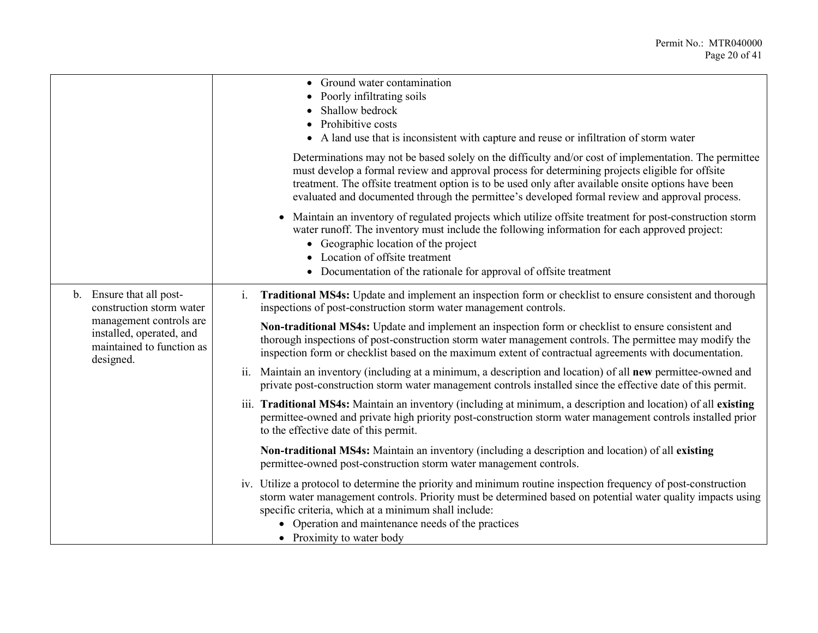|    |                                                                                                                                                    | Ground water contamination<br>Poorly infiltrating soils<br>Shallow bedrock<br>Prohibitive costs<br>A land use that is inconsistent with capture and reuse or infiltration of storm water                                                                                                                                                                                                                          |
|----|----------------------------------------------------------------------------------------------------------------------------------------------------|-------------------------------------------------------------------------------------------------------------------------------------------------------------------------------------------------------------------------------------------------------------------------------------------------------------------------------------------------------------------------------------------------------------------|
|    |                                                                                                                                                    | Determinations may not be based solely on the difficulty and/or cost of implementation. The permittee<br>must develop a formal review and approval process for determining projects eligible for offsite<br>treatment. The offsite treatment option is to be used only after available onsite options have been<br>evaluated and documented through the permittee's developed formal review and approval process. |
|    |                                                                                                                                                    | Maintain an inventory of regulated projects which utilize offsite treatment for post-construction storm<br>water runoff. The inventory must include the following information for each approved project:<br>• Geographic location of the project<br>Location of offsite treatment<br>• Documentation of the rationale for approval of offsite treatment                                                           |
| b. | Ensure that all post-<br>construction storm water<br>management controls are<br>installed, operated, and<br>maintained to function as<br>designed. | Traditional MS4s: Update and implement an inspection form or checklist to ensure consistent and thorough<br>1.<br>inspections of post-construction storm water management controls.                                                                                                                                                                                                                               |
|    |                                                                                                                                                    | Non-traditional MS4s: Update and implement an inspection form or checklist to ensure consistent and<br>thorough inspections of post-construction storm water management controls. The permittee may modify the<br>inspection form or checklist based on the maximum extent of contractual agreements with documentation.                                                                                          |
|    |                                                                                                                                                    | ii. Maintain an inventory (including at a minimum, a description and location) of all new permittee-owned and<br>private post-construction storm water management controls installed since the effective date of this permit.                                                                                                                                                                                     |
|    |                                                                                                                                                    | iii. Traditional MS4s: Maintain an inventory (including at minimum, a description and location) of all existing<br>permittee-owned and private high priority post-construction storm water management controls installed prior<br>to the effective date of this permit.                                                                                                                                           |
|    |                                                                                                                                                    | Non-traditional MS4s: Maintain an inventory (including a description and location) of all existing<br>permittee-owned post-construction storm water management controls.                                                                                                                                                                                                                                          |
|    |                                                                                                                                                    | iv. Utilize a protocol to determine the priority and minimum routine inspection frequency of post-construction<br>storm water management controls. Priority must be determined based on potential water quality impacts using<br>specific criteria, which at a minimum shall include:<br>• Operation and maintenance needs of the practices<br>• Proximity to water body                                          |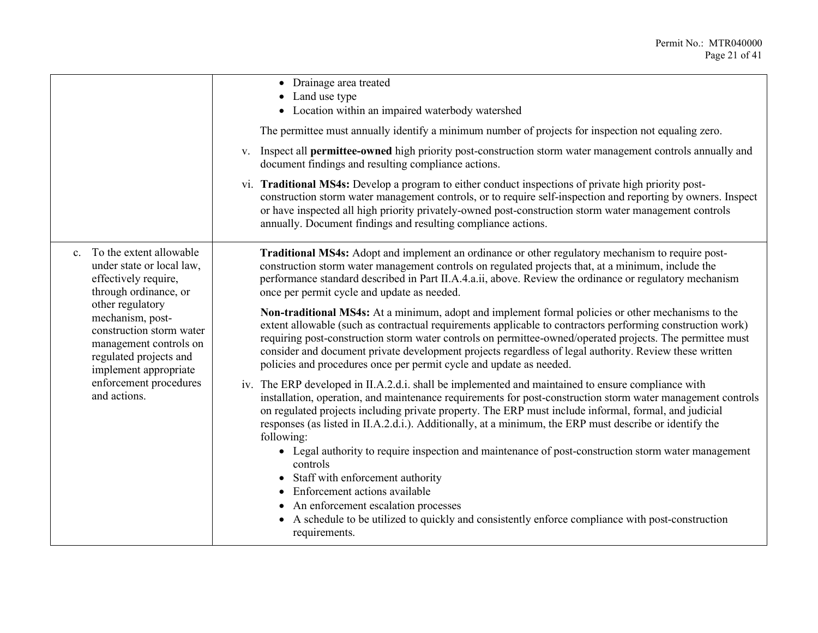|                                                                                                                                                                                                                                                           | • Drainage area treated<br>• Land use type<br>• Location within an impaired waterbody watershed<br>The permittee must annually identify a minimum number of projects for inspection not equaling zero.<br>v. Inspect all <b>permittee-owned</b> high priority post-construction storm water management controls annually and<br>document findings and resulting compliance actions.<br>vi. Traditional MS4s: Develop a program to either conduct inspections of private high priority post-<br>construction storm water management controls, or to require self-inspection and reporting by owners. Inspect<br>or have inspected all high priority privately-owned post-construction storm water management controls<br>annually. Document findings and resulting compliance actions.                                                                                               |
|-----------------------------------------------------------------------------------------------------------------------------------------------------------------------------------------------------------------------------------------------------------|-------------------------------------------------------------------------------------------------------------------------------------------------------------------------------------------------------------------------------------------------------------------------------------------------------------------------------------------------------------------------------------------------------------------------------------------------------------------------------------------------------------------------------------------------------------------------------------------------------------------------------------------------------------------------------------------------------------------------------------------------------------------------------------------------------------------------------------------------------------------------------------|
| c. To the extent allowable<br>under state or local law,<br>effectively require,<br>through ordinance, or<br>other regulatory<br>mechanism, post-<br>construction storm water<br>management controls on<br>regulated projects and<br>implement appropriate | Traditional MS4s: Adopt and implement an ordinance or other regulatory mechanism to require post-<br>construction storm water management controls on regulated projects that, at a minimum, include the<br>performance standard described in Part II.A.4.a.ii, above. Review the ordinance or regulatory mechanism<br>once per permit cycle and update as needed.<br>Non-traditional MS4s: At a minimum, adopt and implement formal policies or other mechanisms to the<br>extent allowable (such as contractual requirements applicable to contractors performing construction work)<br>requiring post-construction storm water controls on permittee-owned/operated projects. The permittee must<br>consider and document private development projects regardless of legal authority. Review these written<br>policies and procedures once per permit cycle and update as needed. |
| enforcement procedures<br>and actions.                                                                                                                                                                                                                    | iv. The ERP developed in II.A.2.d.i. shall be implemented and maintained to ensure compliance with<br>installation, operation, and maintenance requirements for post-construction storm water management controls<br>on regulated projects including private property. The ERP must include informal, formal, and judicial<br>responses (as listed in II.A.2.d.i.). Additionally, at a minimum, the ERP must describe or identify the<br>following:<br>• Legal authority to require inspection and maintenance of post-construction storm water management<br>controls<br>• Staff with enforcement authority<br>Enforcement actions available<br>$\bullet$<br>• An enforcement escalation processes<br>A schedule to be utilized to quickly and consistently enforce compliance with post-construction<br>requirements.                                                             |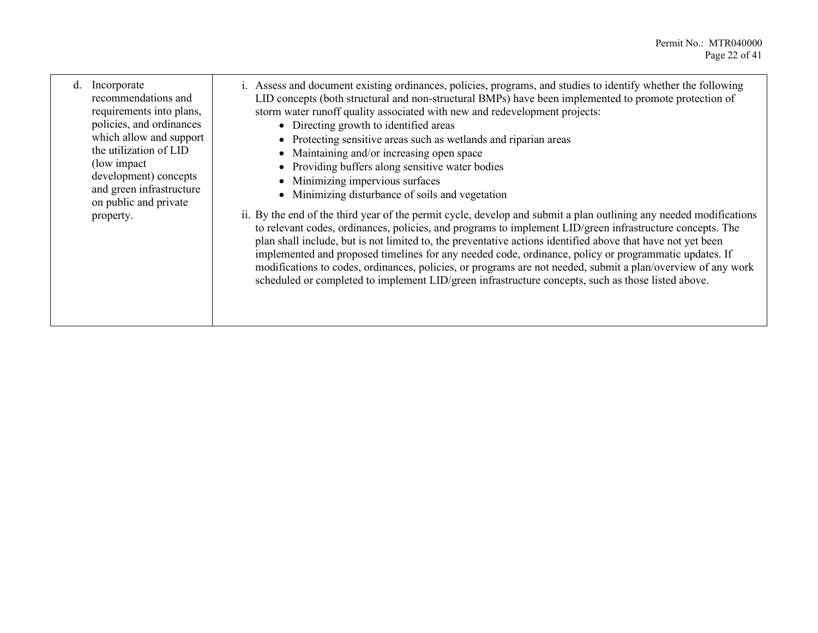d. Incorporate recommendations and requirements into plans, policies, and ordinances which allow and support the utilization of LID (low impact development) concepts and green infrastructure on public and private property.

- i. Assess and document existing ordinances, policies, programs, and studies to identify whether the following LID concepts (both structural and non-structural BMPs) have been implemented to promote protection of storm water runoff quality associated with new and redevelopment projects:
	- Directing growth to identified areas
	- Protecting sensitive areas such as wetlands and riparian areas
	- Maintaining and/or increasing open space
	- Providing buffers along sensitive water bodies
	- Minimizing impervious surfaces
	- Minimizing disturbance of soils and vegetation
- ii. By the end of the third year of the permit cycle, develop and submit a plan outlining any needed modifications to relevant codes, ordinances, policies, and programs to implement LID/green infrastructure concepts. The plan shall include, but is not limited to, the preventative actions identified above that have not yet been implemented and proposed timelines for any needed code, ordinance, policy or programmatic updates. If modifications to codes, ordinances, policies, or programs are not needed, submit a plan/overview of any work scheduled or completed to implement LID/green infrastructure concepts, such as those listed above.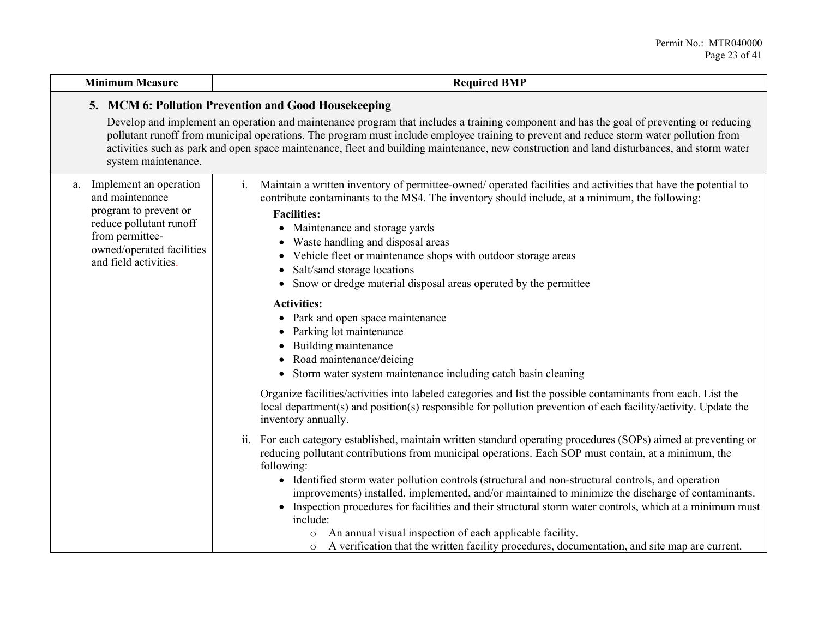#### **Minimum Measure Required BMP**

## **5. MCM 6: Pollution Prevention and Good Housekeeping**

Develop and implement an operation and maintenance program that includes a training component and has the goal of preventing or reducing pollutant runoff from municipal operations. The program must include employee training to prevent and reduce storm water pollution from activities such as park and open space maintenance, fleet and building maintenance, new construction and land disturbances, and storm water system maintenance.

| a. | Implement an operation<br>and maintenance<br>program to prevent or<br>reduce pollutant runoff<br>from permittee-<br>owned/operated facilities<br>and field activities. | Maintain a written inventory of permittee-owned/ operated facilities and activities that have the potential to<br>contribute contaminants to the MS4. The inventory should include, at a minimum, the following:<br><b>Facilities:</b><br>Maintenance and storage yards<br>$\bullet$<br>Waste handling and disposal areas<br>٠<br>Vehicle fleet or maintenance shops with outdoor storage areas<br>٠<br>Salt/sand storage locations<br>٠<br>Snow or dredge material disposal areas operated by the permittee<br>$\bullet$ |
|----|------------------------------------------------------------------------------------------------------------------------------------------------------------------------|---------------------------------------------------------------------------------------------------------------------------------------------------------------------------------------------------------------------------------------------------------------------------------------------------------------------------------------------------------------------------------------------------------------------------------------------------------------------------------------------------------------------------|
|    |                                                                                                                                                                        | <b>Activities:</b>                                                                                                                                                                                                                                                                                                                                                                                                                                                                                                        |
|    |                                                                                                                                                                        | Park and open space maintenance<br>$\bullet$                                                                                                                                                                                                                                                                                                                                                                                                                                                                              |
|    |                                                                                                                                                                        | Parking lot maintenance                                                                                                                                                                                                                                                                                                                                                                                                                                                                                                   |
|    |                                                                                                                                                                        | Building maintenance<br>٠                                                                                                                                                                                                                                                                                                                                                                                                                                                                                                 |
|    |                                                                                                                                                                        | Road maintenance/deicing<br>٠                                                                                                                                                                                                                                                                                                                                                                                                                                                                                             |
|    |                                                                                                                                                                        | Storm water system maintenance including catch basin cleaning<br>$\bullet$                                                                                                                                                                                                                                                                                                                                                                                                                                                |
|    |                                                                                                                                                                        | Organize facilities/activities into labeled categories and list the possible contaminants from each. List the<br>local department(s) and position(s) responsible for pollution prevention of each facility/activity. Update the<br>inventory annually.                                                                                                                                                                                                                                                                    |
|    |                                                                                                                                                                        | ii. For each category established, maintain written standard operating procedures (SOPs) aimed at preventing or                                                                                                                                                                                                                                                                                                                                                                                                           |
|    |                                                                                                                                                                        | reducing pollutant contributions from municipal operations. Each SOP must contain, at a minimum, the<br>following:                                                                                                                                                                                                                                                                                                                                                                                                        |
|    |                                                                                                                                                                        | • Identified storm water pollution controls (structural and non-structural controls, and operation                                                                                                                                                                                                                                                                                                                                                                                                                        |
|    |                                                                                                                                                                        | improvements) installed, implemented, and/or maintained to minimize the discharge of contaminants.                                                                                                                                                                                                                                                                                                                                                                                                                        |
|    |                                                                                                                                                                        | Inspection procedures for facilities and their structural storm water controls, which at a minimum must<br>$\bullet$<br>include:                                                                                                                                                                                                                                                                                                                                                                                          |
|    |                                                                                                                                                                        | An annual visual inspection of each applicable facility.<br>$\circ$                                                                                                                                                                                                                                                                                                                                                                                                                                                       |
|    |                                                                                                                                                                        | A verification that the written facility procedures, documentation, and site map are current.                                                                                                                                                                                                                                                                                                                                                                                                                             |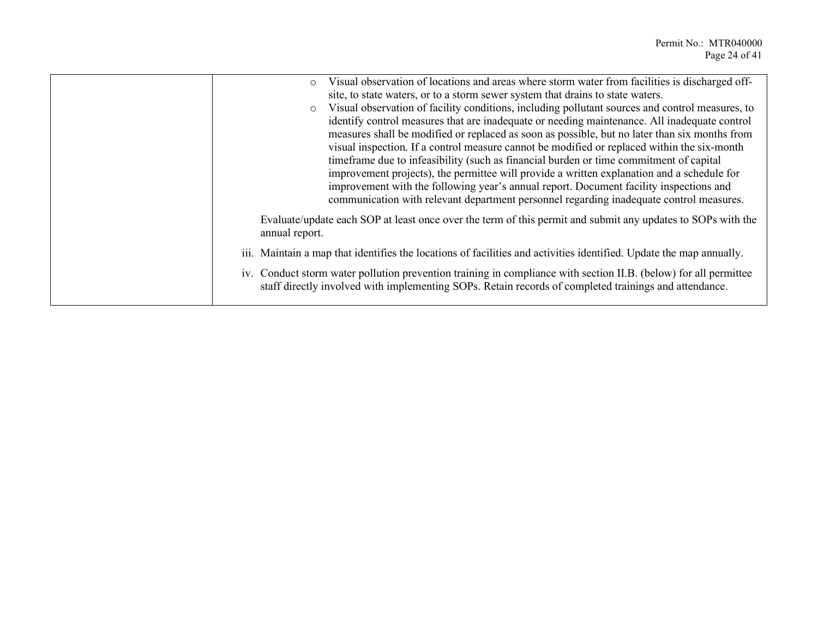| Visual observation of locations and areas where storm water from facilities is discharged off-<br>$\circ$<br>site, to state waters, or to a storm sewer system that drains to state waters.<br>Visual observation of facility conditions, including pollutant sources and control measures, to<br>$\circ$<br>identify control measures that are inadequate or needing maintenance. All inadequate control<br>measures shall be modified or replaced as soon as possible, but no later than six months from<br>visual inspection. If a control measure cannot be modified or replaced within the six-month<br>timeframe due to infeasibility (such as financial burden or time commitment of capital<br>improvement projects), the permittee will provide a written explanation and a schedule for<br>improvement with the following year's annual report. Document facility inspections and<br>communication with relevant department personnel regarding inadequate control measures. |
|----------------------------------------------------------------------------------------------------------------------------------------------------------------------------------------------------------------------------------------------------------------------------------------------------------------------------------------------------------------------------------------------------------------------------------------------------------------------------------------------------------------------------------------------------------------------------------------------------------------------------------------------------------------------------------------------------------------------------------------------------------------------------------------------------------------------------------------------------------------------------------------------------------------------------------------------------------------------------------------|
| Evaluate/update each SOP at least once over the term of this permit and submit any updates to SOPs with the<br>annual report.                                                                                                                                                                                                                                                                                                                                                                                                                                                                                                                                                                                                                                                                                                                                                                                                                                                          |
| iii. Maintain a map that identifies the locations of facilities and activities identified. Update the map annually.                                                                                                                                                                                                                                                                                                                                                                                                                                                                                                                                                                                                                                                                                                                                                                                                                                                                    |
| iv. Conduct storm water pollution prevention training in compliance with section II.B. (below) for all permittee<br>staff directly involved with implementing SOPs. Retain records of completed trainings and attendance.                                                                                                                                                                                                                                                                                                                                                                                                                                                                                                                                                                                                                                                                                                                                                              |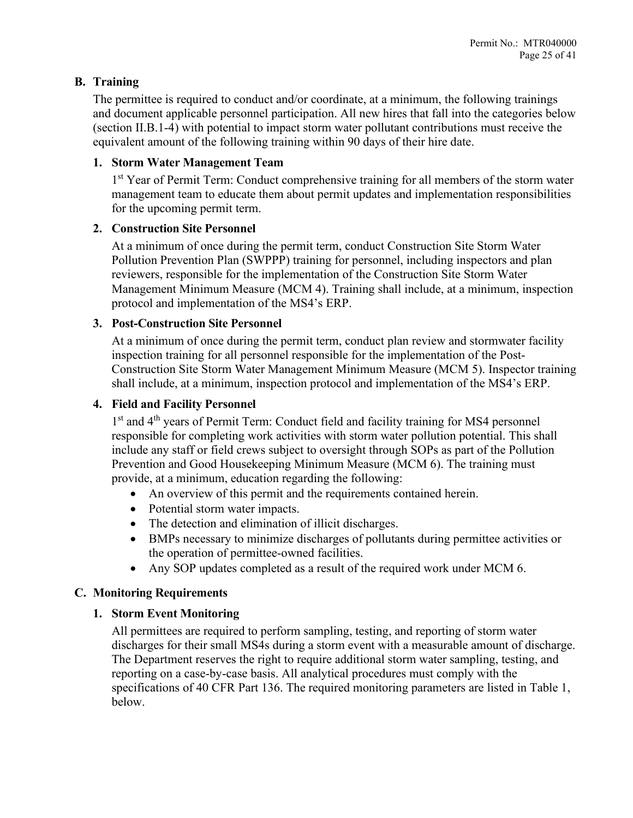## <span id="page-24-0"></span>**B. Training**

The permittee is required to conduct and/or coordinate, at a minimum, the following trainings and document applicable personnel participation. All new hires that fall into the categories below (section II.B.1-4) with potential to impact storm water pollutant contributions must receive the equivalent amount of the following training within 90 days of their hire date.

#### **1. Storm Water Management Team**

1<sup>st</sup> Year of Permit Term: Conduct comprehensive training for all members of the storm water management team to educate them about permit updates and implementation responsibilities for the upcoming permit term.

#### **2. Construction Site Personnel**

At a minimum of once during the permit term, conduct Construction Site Storm Water Pollution Prevention Plan (SWPPP) training for personnel, including inspectors and plan reviewers, responsible for the implementation of the Construction Site Storm Water Management Minimum Measure (MCM 4). Training shall include, at a minimum, inspection protocol and implementation of the MS4's ERP.

#### **3. Post-Construction Site Personnel**

At a minimum of once during the permit term, conduct plan review and stormwater facility inspection training for all personnel responsible for the implementation of the Post-Construction Site Storm Water Management Minimum Measure (MCM 5). Inspector training shall include, at a minimum, inspection protocol and implementation of the MS4's ERP.

#### **4. Field and Facility Personnel**

1st and 4<sup>th</sup> years of Permit Term: Conduct field and facility training for MS4 personnel responsible for completing work activities with storm water pollution potential. This shall include any staff or field crews subject to oversight through SOPs as part of the Pollution Prevention and Good Housekeeping Minimum Measure (MCM 6). The training must provide, at a minimum, education regarding the following:

- An overview of this permit and the requirements contained herein.
- Potential storm water impacts.
- The detection and elimination of illicit discharges.
- BMPs necessary to minimize discharges of pollutants during permittee activities or the operation of permittee-owned facilities.
- Any SOP updates completed as a result of the required work under MCM 6.

## <span id="page-24-1"></span>**C. Monitoring Requirements**

#### **1. Storm Event Monitoring**

All permittees are required to perform sampling, testing, and reporting of storm water discharges for their small MS4s during a storm event with a measurable amount of discharge. The Department reserves the right to require additional storm water sampling, testing, and reporting on a case-by-case basis. All analytical procedures must comply with the specifications of 40 CFR Part 136. The required monitoring parameters are listed in Table 1, below.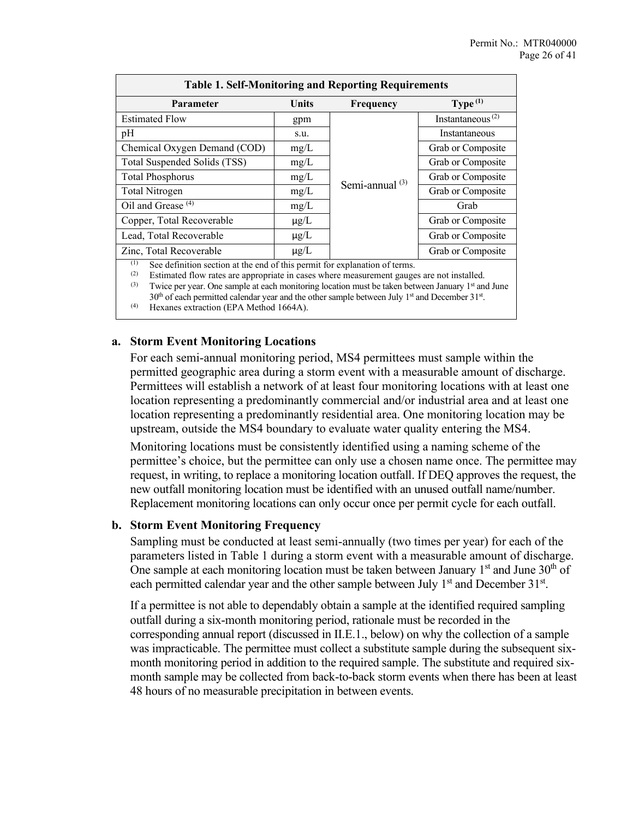| <b>Table 1. Self-Monitoring and Reporting Requirements</b>                       |           |                   |                                           |  |
|----------------------------------------------------------------------------------|-----------|-------------------|-------------------------------------------|--|
| Parameter                                                                        | Units     | Frequency         | Type $(1)$                                |  |
| <b>Estimated Flow</b>                                                            | gpm       |                   | Instantaneous <sup><math>(2)</math></sup> |  |
| pH                                                                               | s.u.      |                   | Instantaneous                             |  |
| Chemical Oxygen Demand (COD)                                                     | mg/L      |                   | Grab or Composite                         |  |
| Total Suspended Solids (TSS)                                                     | mg/L      |                   | Grab or Composite                         |  |
| <b>Total Phosphorus</b>                                                          | mg/L      |                   | Grab or Composite                         |  |
| Total Nitrogen                                                                   | mg/L      | Semi-annual $(3)$ | Grab or Composite                         |  |
| Oil and Grease <sup>(4)</sup>                                                    | mg/L      |                   | Grab                                      |  |
| Copper, Total Recoverable                                                        | $\mu$ g/L |                   | Grab or Composite                         |  |
| Lead, Total Recoverable                                                          | $\mu$ g/L |                   | Grab or Composite                         |  |
| Zinc, Total Recoverable                                                          | $\mu$ g/L |                   | Grab or Composite                         |  |
| (1)<br>See definition section at the end of this permit for explanation of terms |           |                   |                                           |  |

nition section at the end of this permit for explanation of terms.

(2) Estimated flow rates are appropriate in cases where measurement gauges are not installed. (3) Twice per year. One sample at each monitoring location must be taken between January  $1<sup>st</sup>$  and June

 $30<sup>th</sup>$  of each permitted calendar year and the other sample between July 1<sup>st</sup> and December 31<sup>st</sup>. (4) Hexanes extraction (EPA Method 1664A).

#### **a. Storm Event Monitoring Locations**

For each semi-annual monitoring period, MS4 permittees must sample within the permitted geographic area during a storm event with a measurable amount of discharge. Permittees will establish a network of at least four monitoring locations with at least one location representing a predominantly commercial and/or industrial area and at least one location representing a predominantly residential area. One monitoring location may be upstream, outside the MS4 boundary to evaluate water quality entering the MS4.

Monitoring locations must be consistently identified using a naming scheme of the permittee's choice, but the permittee can only use a chosen name once. The permittee may request, in writing, to replace a monitoring location outfall. If DEQ approves the request, the new outfall monitoring location must be identified with an unused outfall name/number. Replacement monitoring locations can only occur once per permit cycle for each outfall.

#### **b. Storm Event Monitoring Frequency**

Sampling must be conducted at least semi-annually (two times per year) for each of the parameters listed in Table 1 during a storm event with a measurable amount of discharge. One sample at each monitoring location must be taken between January  $1<sup>st</sup>$  and June  $30<sup>th</sup>$  of each permitted calendar year and the other sample between July  $1<sup>st</sup>$  and December 31 $<sup>st</sup>$ .</sup>

If a permittee is not able to dependably obtain a sample at the identified required sampling outfall during a six-month monitoring period, rationale must be recorded in the corresponding annual report (discussed in II.E.1., below) on why the collection of a sample was impracticable. The permittee must collect a substitute sample during the subsequent sixmonth monitoring period in addition to the required sample. The substitute and required sixmonth sample may be collected from back-to-back storm events when there has been at least 48 hours of no measurable precipitation in between events.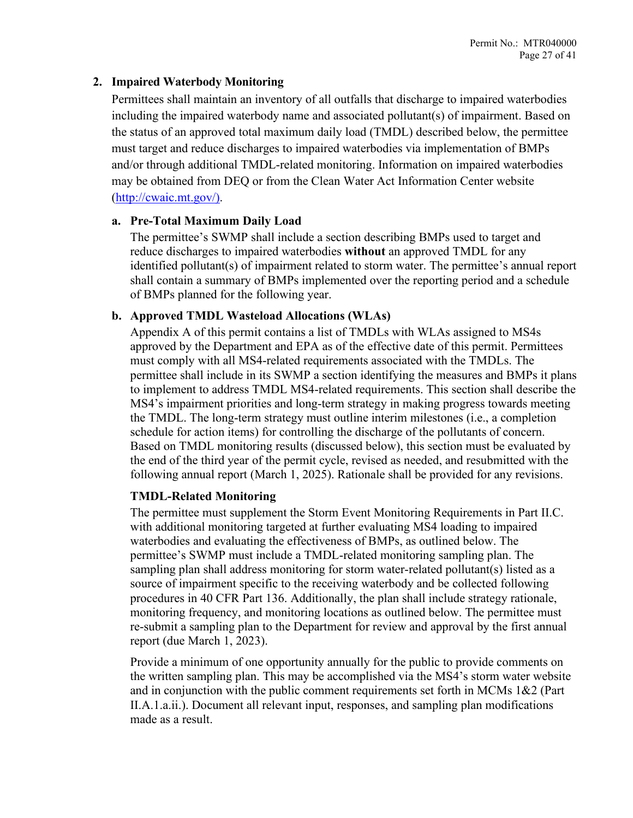#### **2. Impaired Waterbody Monitoring**

Permittees shall maintain an inventory of all outfalls that discharge to impaired waterbodies including the impaired waterbody name and associated pollutant(s) of impairment. Based on the status of an approved total maximum daily load (TMDL) described below, the permittee must target and reduce discharges to impaired waterbodies via implementation of BMPs and/or through additional TMDL-related monitoring. Information on impaired waterbodies may be obtained from DEQ or from the Clean Water Act Information Center website [\(http://cwaic.mt.gov/\)](http://cwaic.mt.gov/).

#### **a. Pre-Total Maximum Daily Load**

The permittee's SWMP shall include a section describing BMPs used to target and reduce discharges to impaired waterbodies **without** an approved TMDL for any identified pollutant(s) of impairment related to storm water. The permittee's annual report shall contain a summary of BMPs implemented over the reporting period and a schedule of BMPs planned for the following year.

#### **b. Approved TMDL Wasteload Allocations (WLAs)**

Appendix A of this permit contains a list of TMDLs with WLAs assigned to MS4s approved by the Department and EPA as of the effective date of this permit. Permittees must comply with all MS4-related requirements associated with the TMDLs. The permittee shall include in its SWMP a section identifying the measures and BMPs it plans to implement to address TMDL MS4-related requirements. This section shall describe the MS4's impairment priorities and long-term strategy in making progress towards meeting the TMDL. The long-term strategy must outline interim milestones (i.e., a completion schedule for action items) for controlling the discharge of the pollutants of concern. Based on TMDL monitoring results (discussed below), this section must be evaluated by the end of the third year of the permit cycle, revised as needed, and resubmitted with the following annual report (March 1, 2025). Rationale shall be provided for any revisions.

## **TMDL-Related Monitoring**

The permittee must supplement the Storm Event Monitoring Requirements in Part II.C. with additional monitoring targeted at further evaluating MS4 loading to impaired waterbodies and evaluating the effectiveness of BMPs, as outlined below. The permittee's SWMP must include a TMDL-related monitoring sampling plan. The sampling plan shall address monitoring for storm water-related pollutant(s) listed as a source of impairment specific to the receiving waterbody and be collected following procedures in 40 CFR Part 136. Additionally, the plan shall include strategy rationale, monitoring frequency, and monitoring locations as outlined below. The permittee must re-submit a sampling plan to the Department for review and approval by the first annual report (due March 1, 2023).

Provide a minimum of one opportunity annually for the public to provide comments on the written sampling plan. This may be accomplished via the MS4's storm water website and in conjunction with the public comment requirements set forth in MCMs 1&2 (Part II.A.1.a.ii.). Document all relevant input, responses, and sampling plan modifications made as a result.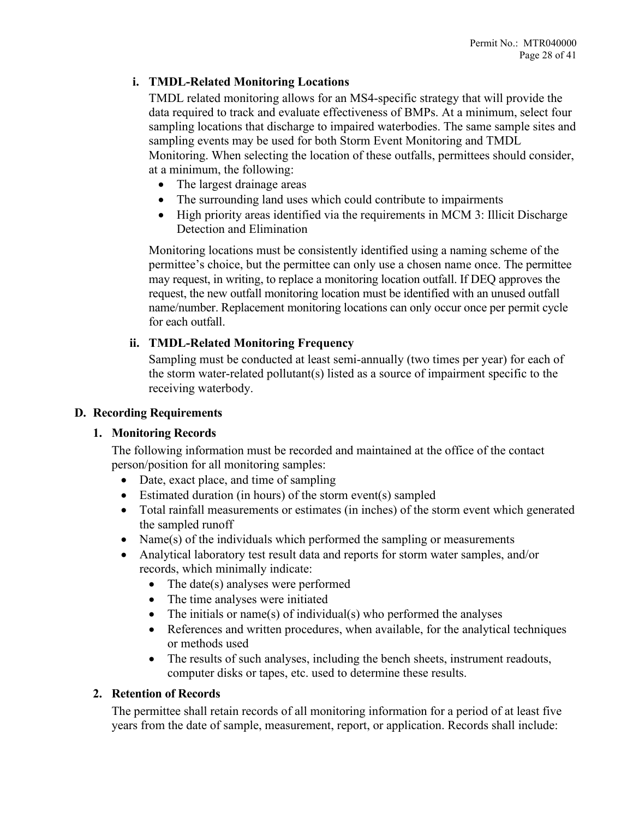## **i. TMDL-Related Monitoring Locations**

TMDL related monitoring allows for an MS4-specific strategy that will provide the data required to track and evaluate effectiveness of BMPs. At a minimum, select four sampling locations that discharge to impaired waterbodies. The same sample sites and sampling events may be used for both Storm Event Monitoring and TMDL Monitoring. When selecting the location of these outfalls, permittees should consider, at a minimum, the following:

- The largest drainage areas
- The surrounding land uses which could contribute to impairments
- High priority areas identified via the requirements in MCM 3: Illicit Discharge Detection and Elimination

Monitoring locations must be consistently identified using a naming scheme of the permittee's choice, but the permittee can only use a chosen name once. The permittee may request, in writing, to replace a monitoring location outfall. If DEQ approves the request, the new outfall monitoring location must be identified with an unused outfall name/number. Replacement monitoring locations can only occur once per permit cycle for each outfall.

## **ii. TMDL-Related Monitoring Frequency**

Sampling must be conducted at least semi-annually (two times per year) for each of the storm water-related pollutant(s) listed as a source of impairment specific to the receiving waterbody.

#### <span id="page-27-0"></span>**D. Recording Requirements**

## **1. Monitoring Records**

The following information must be recorded and maintained at the office of the contact person/position for all monitoring samples:

- Date, exact place, and time of sampling
- Estimated duration (in hours) of the storm event(s) sampled
- Total rainfall measurements or estimates (in inches) of the storm event which generated the sampled runoff
- Name(s) of the individuals which performed the sampling or measurements
- Analytical laboratory test result data and reports for storm water samples, and/or records, which minimally indicate:
	- The date(s) analyses were performed
	- The time analyses were initiated
	- The initials or name(s) of individual(s) who performed the analyses
	- References and written procedures, when available, for the analytical techniques or methods used
	- The results of such analyses, including the bench sheets, instrument readouts, computer disks or tapes, etc. used to determine these results.

## **2. Retention of Records**

The permittee shall retain records of all monitoring information for a period of at least five years from the date of sample, measurement, report, or application. Records shall include: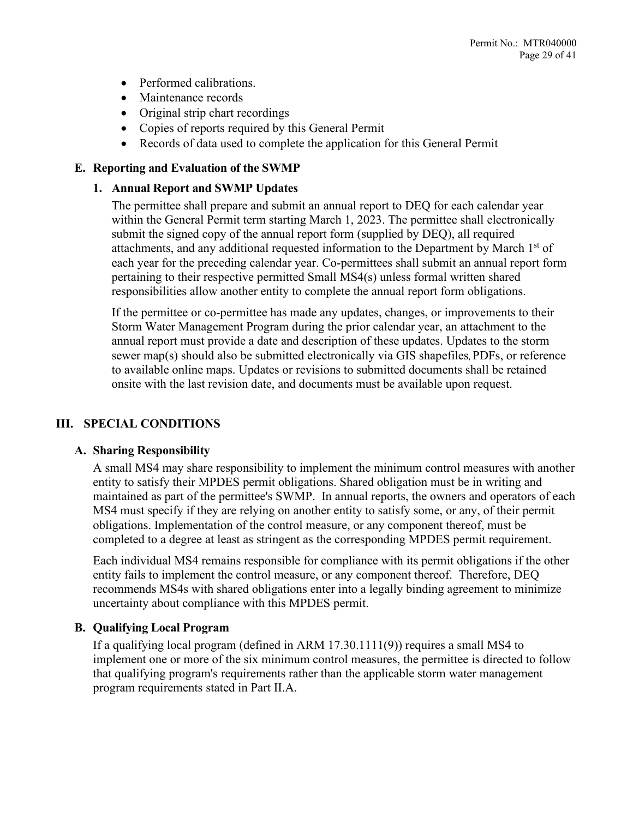- Performed calibrations.
- Maintenance records
- Original strip chart recordings
- Copies of reports required by this General Permit
- Records of data used to complete the application for this General Permit

#### <span id="page-28-0"></span>**E. Reporting and Evaluation of the SWMP**

#### **1. Annual Report and SWMP Updates**

The permittee shall prepare and submit an annual report to DEQ for each calendar year within the General Permit term starting March 1, 2023. The permittee shall electronically submit the signed copy of the annual report form (supplied by DEQ), all required attachments, and any additional requested information to the Department by March 1<sup>st</sup> of each year for the preceding calendar year. Co-permittees shall submit an annual report form pertaining to their respective permitted Small MS4(s) unless formal written shared responsibilities allow another entity to complete the annual report form obligations.

If the permittee or co-permittee has made any updates, changes, or improvements to their Storm Water Management Program during the prior calendar year, an attachment to the annual report must provide a date and description of these updates. Updates to the storm sewer map(s) should also be submitted electronically via GIS shapefiles, PDFs, or reference to available online maps. Updates or revisions to submitted documents shall be retained onsite with the last revision date, and documents must be available upon request.

## <span id="page-28-1"></span>**III. SPECIAL CONDITIONS**

#### <span id="page-28-2"></span>**A. Sharing Responsibility**

A small MS4 may share responsibility to implement the minimum control measures with another entity to satisfy their MPDES permit obligations. Shared obligation must be in writing and maintained as part of the permittee's SWMP. In annual reports, the owners and operators of each MS4 must specify if they are relying on another entity to satisfy some, or any, of their permit obligations. Implementation of the control measure, or any component thereof, must be completed to a degree at least as stringent as the corresponding MPDES permit requirement.

Each individual MS4 remains responsible for compliance with its permit obligations if the other entity fails to implement the control measure, or any component thereof. Therefore, DEQ recommends MS4s with shared obligations enter into a legally binding agreement to minimize uncertainty about compliance with this MPDES permit.

## <span id="page-28-3"></span>**B. Qualifying Local Program**

If a qualifying local program (defined in ARM 17.30.1111(9)) requires a small MS4 to implement one or more of the six minimum control measures, the permittee is directed to follow that qualifying program's requirements rather than the applicable storm water management program requirements stated in Part II.A.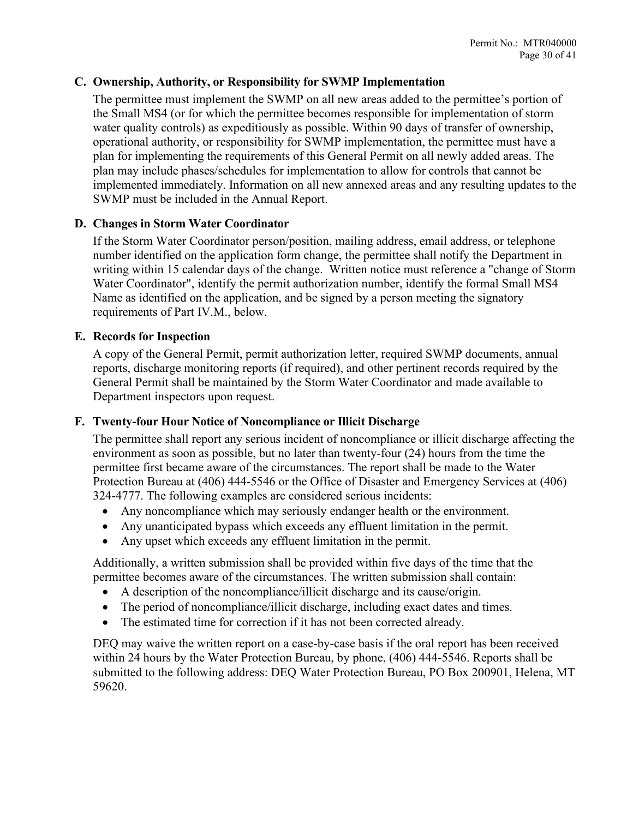## <span id="page-29-0"></span>**C. Ownership, Authority, or Responsibility for SWMP Implementation**

The permittee must implement the SWMP on all new areas added to the permittee's portion of the Small MS4 (or for which the permittee becomes responsible for implementation of storm water quality controls) as expeditiously as possible. Within 90 days of transfer of ownership, operational authority, or responsibility for SWMP implementation, the permittee must have a plan for implementing the requirements of this General Permit on all newly added areas. The plan may include phases/schedules for implementation to allow for controls that cannot be implemented immediately. Information on all new annexed areas and any resulting updates to the SWMP must be included in the Annual Report.

## <span id="page-29-1"></span>**D. Changes in Storm Water Coordinator**

If the Storm Water Coordinator person/position, mailing address, email address, or telephone number identified on the application form change, the permittee shall notify the Department in writing within 15 calendar days of the change. Written notice must reference a "change of Storm Water Coordinator", identify the permit authorization number, identify the formal Small MS4 Name as identified on the application, and be signed by a person meeting the signatory requirements of Part IV.M., below.

## <span id="page-29-2"></span>**E. Records for Inspection**

A copy of the General Permit, permit authorization letter, required SWMP documents, annual reports, discharge monitoring reports (if required), and other pertinent records required by the General Permit shall be maintained by the Storm Water Coordinator and made available to Department inspectors upon request.

## <span id="page-29-3"></span>**F. Twenty-four Hour Notice of Noncompliance or Illicit Discharge**

The permittee shall report any serious incident of noncompliance or illicit discharge affecting the environment as soon as possible, but no later than twenty-four (24) hours from the time the permittee first became aware of the circumstances. The report shall be made to the Water Protection Bureau at (406) 444-5546 or the Office of Disaster and Emergency Services at (406) 324-4777. The following examples are considered serious incidents:

- Any noncompliance which may seriously endanger health or the environment.
- Any unanticipated bypass which exceeds any effluent limitation in the permit.
- Any upset which exceeds any effluent limitation in the permit.

Additionally, a written submission shall be provided within five days of the time that the permittee becomes aware of the circumstances. The written submission shall contain:

- A description of the noncompliance/illicit discharge and its cause/origin.
- The period of noncompliance/illicit discharge, including exact dates and times.
- The estimated time for correction if it has not been corrected already.

DEQ may waive the written report on a case-by-case basis if the oral report has been received within 24 hours by the Water Protection Bureau, by phone, (406) 444-5546. Reports shall be submitted to the following address: DEQ Water Protection Bureau, PO Box 200901, Helena, MT 59620.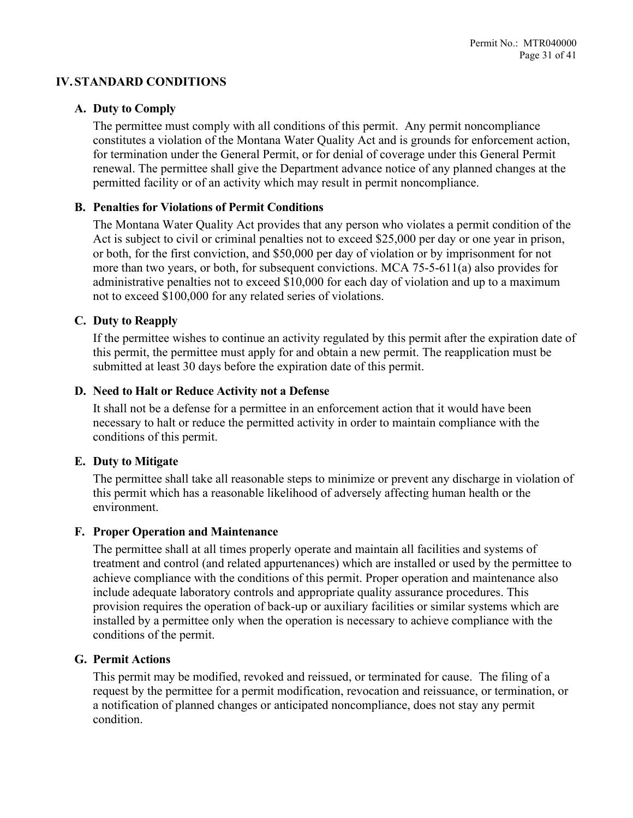#### <span id="page-30-0"></span>**IV. STANDARD CONDITIONS**

#### <span id="page-30-1"></span>**A. Duty to Comply**

The permittee must comply with all conditions of this permit. Any permit noncompliance constitutes a violation of the Montana Water Quality Act and is grounds for enforcement action, for termination under the General Permit, or for denial of coverage under this General Permit renewal. The permittee shall give the Department advance notice of any planned changes at the permitted facility or of an activity which may result in permit noncompliance.

#### <span id="page-30-2"></span>**B. Penalties for Violations of Permit Conditions**

The Montana Water Quality Act provides that any person who violates a permit condition of the Act is subject to civil or criminal penalties not to exceed \$25,000 per day or one year in prison, or both, for the first conviction, and \$50,000 per day of violation or by imprisonment for not more than two years, or both, for subsequent convictions. MCA 75-5-611(a) also provides for administrative penalties not to exceed \$10,000 for each day of violation and up to a maximum not to exceed \$100,000 for any related series of violations.

#### <span id="page-30-3"></span>**C. Duty to Reapply**

If the permittee wishes to continue an activity regulated by this permit after the expiration date of this permit, the permittee must apply for and obtain a new permit. The reapplication must be submitted at least 30 days before the expiration date of this permit.

#### <span id="page-30-4"></span>**D. Need to Halt or Reduce Activity not a Defense**

It shall not be a defense for a permittee in an enforcement action that it would have been necessary to halt or reduce the permitted activity in order to maintain compliance with the conditions of this permit.

#### <span id="page-30-5"></span>**E. Duty to Mitigate**

The permittee shall take all reasonable steps to minimize or prevent any discharge in violation of this permit which has a reasonable likelihood of adversely affecting human health or the environment.

#### <span id="page-30-6"></span>**F. Proper Operation and Maintenance**

The permittee shall at all times properly operate and maintain all facilities and systems of treatment and control (and related appurtenances) which are installed or used by the permittee to achieve compliance with the conditions of this permit. Proper operation and maintenance also include adequate laboratory controls and appropriate quality assurance procedures. This provision requires the operation of back-up or auxiliary facilities or similar systems which are installed by a permittee only when the operation is necessary to achieve compliance with the conditions of the permit.

#### <span id="page-30-7"></span>**G. Permit Actions**

This permit may be modified, revoked and reissued, or terminated for cause. The filing of a request by the permittee for a permit modification, revocation and reissuance, or termination, or a notification of planned changes or anticipated noncompliance, does not stay any permit condition.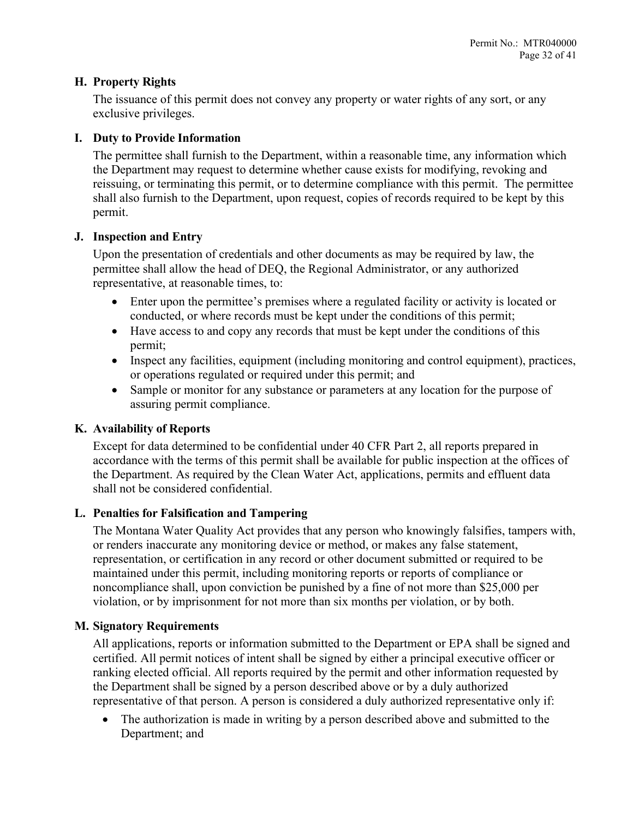#### <span id="page-31-0"></span>**H. Property Rights**

The issuance of this permit does not convey any property or water rights of any sort, or any exclusive privileges.

#### <span id="page-31-1"></span>**I. Duty to Provide Information**

The permittee shall furnish to the Department, within a reasonable time, any information which the Department may request to determine whether cause exists for modifying, revoking and reissuing, or terminating this permit, or to determine compliance with this permit. The permittee shall also furnish to the Department, upon request, copies of records required to be kept by this permit.

#### <span id="page-31-2"></span>**J. Inspection and Entry**

Upon the presentation of credentials and other documents as may be required by law, the permittee shall allow the head of DEQ, the Regional Administrator, or any authorized representative, at reasonable times, to:

- Enter upon the permittee's premises where a regulated facility or activity is located or conducted, or where records must be kept under the conditions of this permit;
- Have access to and copy any records that must be kept under the conditions of this permit;
- Inspect any facilities, equipment (including monitoring and control equipment), practices, or operations regulated or required under this permit; and
- Sample or monitor for any substance or parameters at any location for the purpose of assuring permit compliance.

## <span id="page-31-3"></span>**K. Availability of Reports**

Except for data determined to be confidential under 40 CFR Part 2, all reports prepared in accordance with the terms of this permit shall be available for public inspection at the offices of the Department. As required by the Clean Water Act, applications, permits and effluent data shall not be considered confidential.

## <span id="page-31-4"></span>**L. Penalties for Falsification and Tampering**

The Montana Water Quality Act provides that any person who knowingly falsifies, tampers with, or renders inaccurate any monitoring device or method, or makes any false statement, representation, or certification in any record or other document submitted or required to be maintained under this permit, including monitoring reports or reports of compliance or noncompliance shall, upon conviction be punished by a fine of not more than \$25,000 per violation, or by imprisonment for not more than six months per violation, or by both.

#### <span id="page-31-5"></span>**M. Signatory Requirements**

All applications, reports or information submitted to the Department or EPA shall be signed and certified. All permit notices of intent shall be signed by either a principal executive officer or ranking elected official. All reports required by the permit and other information requested by the Department shall be signed by a person described above or by a duly authorized representative of that person. A person is considered a duly authorized representative only if:

• The authorization is made in writing by a person described above and submitted to the Department; and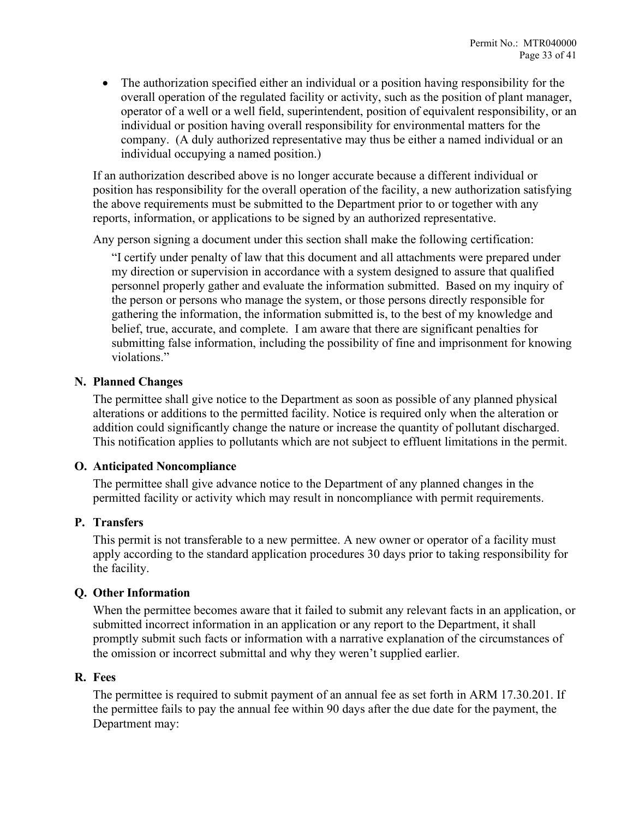• The authorization specified either an individual or a position having responsibility for the overall operation of the regulated facility or activity, such as the position of plant manager, operator of a well or a well field, superintendent, position of equivalent responsibility, or an individual or position having overall responsibility for environmental matters for the company. (A duly authorized representative may thus be either a named individual or an individual occupying a named position.)

If an authorization described above is no longer accurate because a different individual or position has responsibility for the overall operation of the facility, a new authorization satisfying the above requirements must be submitted to the Department prior to or together with any reports, information, or applications to be signed by an authorized representative.

Any person signing a document under this section shall make the following certification:

"I certify under penalty of law that this document and all attachments were prepared under my direction or supervision in accordance with a system designed to assure that qualified personnel properly gather and evaluate the information submitted. Based on my inquiry of the person or persons who manage the system, or those persons directly responsible for gathering the information, the information submitted is, to the best of my knowledge and belief, true, accurate, and complete. I am aware that there are significant penalties for submitting false information, including the possibility of fine and imprisonment for knowing violations."

## <span id="page-32-0"></span>**N. Planned Changes**

The permittee shall give notice to the Department as soon as possible of any planned physical alterations or additions to the permitted facility. Notice is required only when the alteration or addition could significantly change the nature or increase the quantity of pollutant discharged. This notification applies to pollutants which are not subject to effluent limitations in the permit.

## <span id="page-32-1"></span>**O. Anticipated Noncompliance**

The permittee shall give advance notice to the Department of any planned changes in the permitted facility or activity which may result in noncompliance with permit requirements.

## <span id="page-32-2"></span>**P. Transfers**

This permit is not transferable to a new permittee. A new owner or operator of a facility must apply according to the standard application procedures 30 days prior to taking responsibility for the facility.

## <span id="page-32-3"></span>**Q. Other Information**

When the permittee becomes aware that it failed to submit any relevant facts in an application, or submitted incorrect information in an application or any report to the Department, it shall promptly submit such facts or information with a narrative explanation of the circumstances of the omission or incorrect submittal and why they weren't supplied earlier.

#### <span id="page-32-4"></span>**R. Fees**

The permittee is required to submit payment of an annual fee as set forth in ARM 17.30.201. If the permittee fails to pay the annual fee within 90 days after the due date for the payment, the Department may: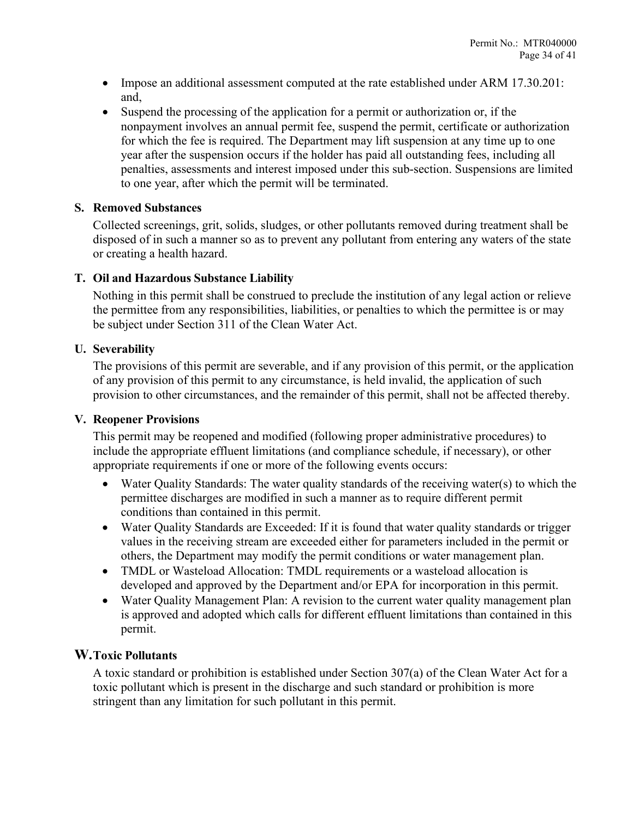- Impose an additional assessment computed at the rate established under ARM 17.30.201: and,
- Suspend the processing of the application for a permit or authorization or, if the nonpayment involves an annual permit fee, suspend the permit, certificate or authorization for which the fee is required. The Department may lift suspension at any time up to one year after the suspension occurs if the holder has paid all outstanding fees, including all penalties, assessments and interest imposed under this sub-section. Suspensions are limited to one year, after which the permit will be terminated.

#### <span id="page-33-0"></span>**S. Removed Substances**

Collected screenings, grit, solids, sludges, or other pollutants removed during treatment shall be disposed of in such a manner so as to prevent any pollutant from entering any waters of the state or creating a health hazard.

## <span id="page-33-1"></span>**T. Oil and Hazardous Substance Liability**

Nothing in this permit shall be construed to preclude the institution of any legal action or relieve the permittee from any responsibilities, liabilities, or penalties to which the permittee is or may be subject under Section 311 of the Clean Water Act.

#### <span id="page-33-2"></span>**U. Severability**

The provisions of this permit are severable, and if any provision of this permit, or the application of any provision of this permit to any circumstance, is held invalid, the application of such provision to other circumstances, and the remainder of this permit, shall not be affected thereby.

#### <span id="page-33-3"></span>**V. Reopener Provisions**

This permit may be reopened and modified (following proper administrative procedures) to include the appropriate effluent limitations (and compliance schedule, if necessary), or other appropriate requirements if one or more of the following events occurs:

- Water Quality Standards: The water quality standards of the receiving water(s) to which the permittee discharges are modified in such a manner as to require different permit conditions than contained in this permit.
- Water Quality Standards are Exceeded: If it is found that water quality standards or trigger values in the receiving stream are exceeded either for parameters included in the permit or others, the Department may modify the permit conditions or water management plan.
- TMDL or Wasteload Allocation: TMDL requirements or a wasteload allocation is developed and approved by the Department and/or EPA for incorporation in this permit.
- Water Quality Management Plan: A revision to the current water quality management plan is approved and adopted which calls for different effluent limitations than contained in this permit.

## <span id="page-33-4"></span>**W.Toxic Pollutants**

A toxic standard or prohibition is established under Section 307(a) of the Clean Water Act for a toxic pollutant which is present in the discharge and such standard or prohibition is more stringent than any limitation for such pollutant in this permit.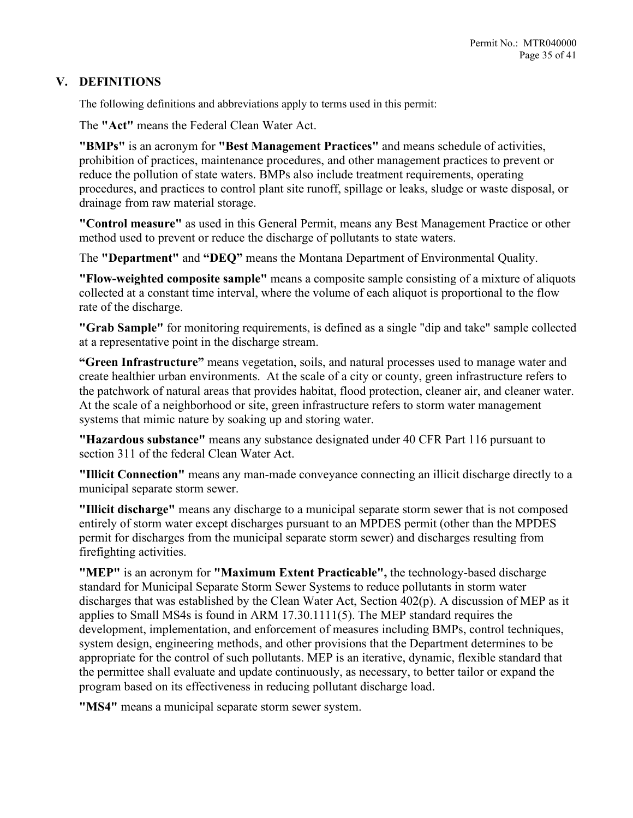## <span id="page-34-0"></span>**V. DEFINITIONS**

The following definitions and abbreviations apply to terms used in this permit:

The **"Act"** means the Federal Clean Water Act.

**"BMPs"** is an acronym for **"Best Management Practices"** and means schedule of activities, prohibition of practices, maintenance procedures, and other management practices to prevent or reduce the pollution of state waters. BMPs also include treatment requirements, operating procedures, and practices to control plant site runoff, spillage or leaks, sludge or waste disposal, or drainage from raw material storage.

**"Control measure"** as used in this General Permit, means any Best Management Practice or other method used to prevent or reduce the discharge of pollutants to state waters.

The **"Department"** and **"DEQ"** means the Montana Department of Environmental Quality.

**"Flow-weighted composite sample"** means a composite sample consisting of a mixture of aliquots collected at a constant time interval, where the volume of each aliquot is proportional to the flow rate of the discharge.

**"Grab Sample"** for monitoring requirements, is defined as a single "dip and take" sample collected at a representative point in the discharge stream.

**"Green Infrastructure"** means vegetation, soils, and natural processes used to manage water and create healthier urban environments. At the scale of a city or county, green infrastructure refers to the patchwork of natural areas that provides habitat, flood protection, cleaner air, and cleaner water. At the scale of a neighborhood or site, green infrastructure refers to storm water management systems that mimic nature by soaking up and storing water.

**"Hazardous substance"** means any substance designated under 40 CFR Part 116 pursuant to section 311 of the federal Clean Water Act.

**"Illicit Connection"** means any man-made conveyance connecting an illicit discharge directly to a municipal separate storm sewer.

**"Illicit discharge"** means any discharge to a municipal separate storm sewer that is not composed entirely of storm water except discharges pursuant to an MPDES permit (other than the MPDES permit for discharges from the municipal separate storm sewer) and discharges resulting from firefighting activities.

**"MEP"** is an acronym for **"Maximum Extent Practicable",** the technology-based discharge standard for Municipal Separate Storm Sewer Systems to reduce pollutants in storm water discharges that was established by the Clean Water Act, Section 402(p). A discussion of MEP as it applies to Small MS4s is found in ARM 17.30.1111(5). The MEP standard requires the development, implementation, and enforcement of measures including BMPs, control techniques, system design, engineering methods, and other provisions that the Department determines to be appropriate for the control of such pollutants. MEP is an iterative, dynamic, flexible standard that the permittee shall evaluate and update continuously, as necessary, to better tailor or expand the program based on its effectiveness in reducing pollutant discharge load.

**"MS4"** means a municipal separate storm sewer system.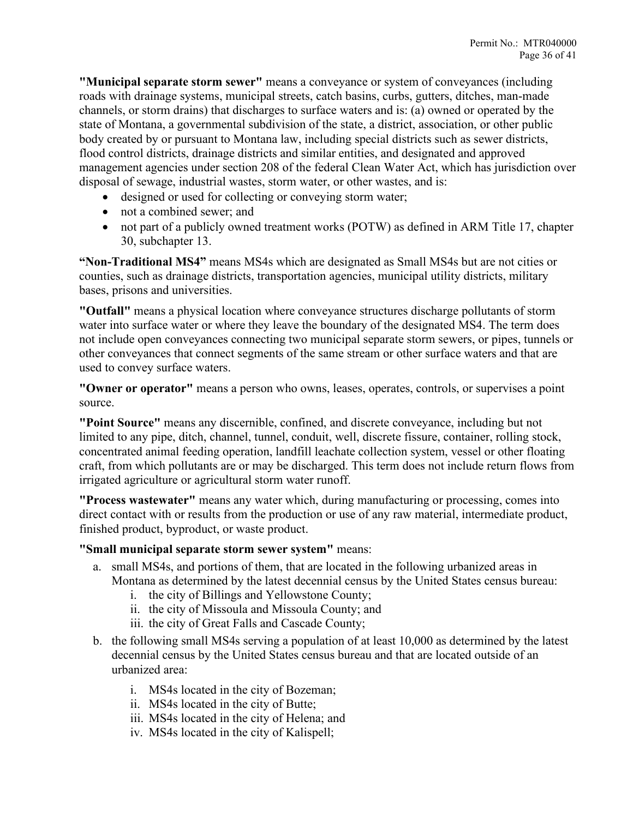**"Municipal separate storm sewer"** means a conveyance or system of conveyances (including roads with drainage systems, municipal streets, catch basins, curbs, gutters, ditches, man-made channels, or storm drains) that discharges to surface waters and is: (a) owned or operated by the state of Montana, a governmental subdivision of the state, a district, association, or other public body created by or pursuant to Montana law, including special districts such as sewer districts, flood control districts, drainage districts and similar entities, and designated and approved management agencies under section 208 of the federal Clean Water Act, which has jurisdiction over disposal of sewage, industrial wastes, storm water, or other wastes, and is:

- designed or used for collecting or conveying storm water;
- not a combined sewer; and
- not part of a publicly owned treatment works (POTW) as defined in ARM Title 17, chapter 30, subchapter 13.

**"Non-Traditional MS4"** means MS4s which are designated as Small MS4s but are not cities or counties, such as drainage districts, transportation agencies, municipal utility districts, military bases, prisons and universities.

**"Outfall"** means a physical location where conveyance structures discharge pollutants of storm water into surface water or where they leave the boundary of the designated MS4. The term does not include open conveyances connecting two municipal separate storm sewers, or pipes, tunnels or other conveyances that connect segments of the same stream or other surface waters and that are used to convey surface waters.

**"Owner or operator"** means a person who owns, leases, operates, controls, or supervises a point source.

**"Point Source"** means any discernible, confined, and discrete conveyance, including but not limited to any pipe, ditch, channel, tunnel, conduit, well, discrete fissure, container, rolling stock, concentrated animal feeding operation, landfill leachate collection system, vessel or other floating craft, from which pollutants are or may be discharged. This term does not include return flows from irrigated agriculture or agricultural storm water runoff.

**"Process wastewater"** means any water which, during manufacturing or processing, comes into direct contact with or results from the production or use of any raw material, intermediate product, finished product, byproduct, or waste product.

## **"Small municipal separate storm sewer system"** means:

- a. small MS4s, and portions of them, that are located in the following urbanized areas in Montana as determined by the latest decennial census by the United States census bureau:
	- i. the city of Billings and Yellowstone County;
	- ii. the city of Missoula and Missoula County; and
	- iii. the city of Great Falls and Cascade County;
- b. the following small MS4s serving a population of at least 10,000 as determined by the latest decennial census by the United States census bureau and that are located outside of an urbanized area:
	- i. MS4s located in the city of Bozeman;
	- ii. MS4s located in the city of Butte;
	- iii. MS4s located in the city of Helena; and
	- iv. MS4s located in the city of Kalispell;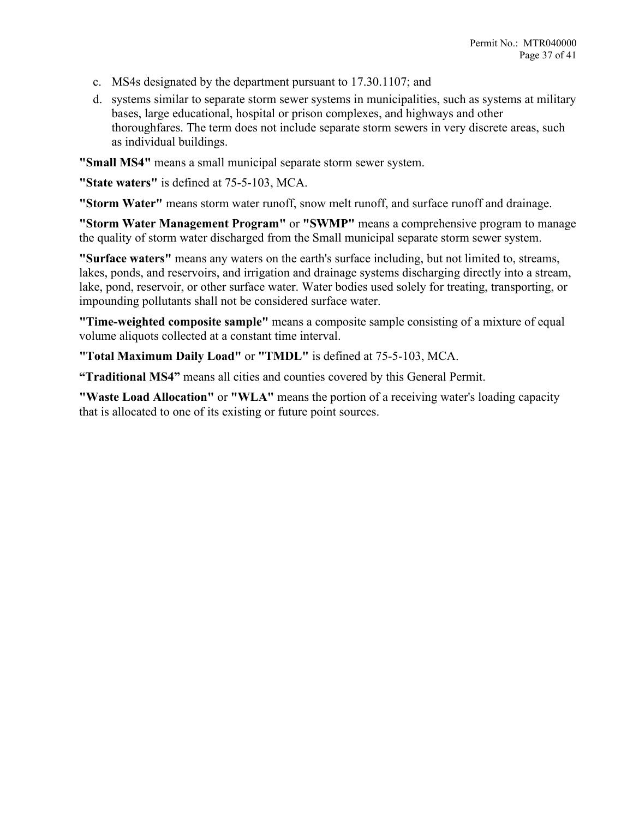- c. MS4s designated by the department pursuant to 17.30.1107; and
- d. systems similar to separate storm sewer systems in municipalities, such as systems at military bases, large educational, hospital or prison complexes, and highways and other thoroughfares. The term does not include separate storm sewers in very discrete areas, such as individual buildings.

**"Small MS4"** means a small municipal separate storm sewer system.

**"State waters"** is defined at 75-5-103, MCA.

**"Storm Water"** means storm water runoff, snow melt runoff, and surface runoff and drainage.

**"Storm Water Management Program"** or **"SWMP"** means a comprehensive program to manage the quality of storm water discharged from the Small municipal separate storm sewer system.

**"Surface waters"** means any waters on the earth's surface including, but not limited to, streams, lakes, ponds, and reservoirs, and irrigation and drainage systems discharging directly into a stream, lake, pond, reservoir, or other surface water. Water bodies used solely for treating, transporting, or impounding pollutants shall not be considered surface water.

**"Time-weighted composite sample"** means a composite sample consisting of a mixture of equal volume aliquots collected at a constant time interval.

**"Total Maximum Daily Load"** or **"TMDL"** is defined at 75-5-103, MCA.

**"Traditional MS4"** means all cities and counties covered by this General Permit.

**"Waste Load Allocation"** or **"WLA"** means the portion of a receiving water's loading capacity that is allocated to one of its existing or future point sources.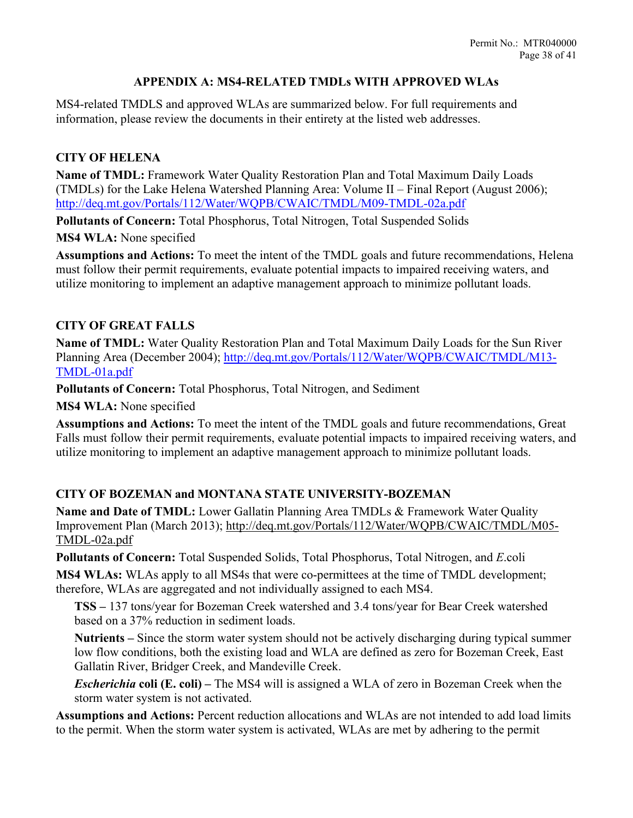#### **APPENDIX A: MS4-RELATED TMDLs WITH APPROVED WLAs**

<span id="page-37-0"></span>MS4-related TMDLS and approved WLAs are summarized below. For full requirements and information, please review the documents in their entirety at the listed web addresses.

#### **CITY OF HELENA**

**Name of TMDL:** Framework Water Quality Restoration Plan and Total Maximum Daily Loads (TMDLs) for the Lake Helena Watershed Planning Area: Volume II – Final Report (August 2006); <http://deq.mt.gov/Portals/112/Water/WQPB/CWAIC/TMDL/M09-TMDL-02a.pdf>

**Pollutants of Concern:** Total Phosphorus, Total Nitrogen, Total Suspended Solids

**MS4 WLA:** None specified

**Assumptions and Actions:** To meet the intent of the TMDL goals and future recommendations, Helena must follow their permit requirements, evaluate potential impacts to impaired receiving waters, and utilize monitoring to implement an adaptive management approach to minimize pollutant loads.

#### **CITY OF GREAT FALLS**

**Name of TMDL:** Water Quality Restoration Plan and Total Maximum Daily Loads for the Sun River Planning Area (December 2004); [http://deq.mt.gov/Portals/112/Water/WQPB/CWAIC/TMDL/M13-](http://deq.mt.gov/Portals/112/Water/WQPB/CWAIC/TMDL/M13-TMDL-01a.pdf) [TMDL-01a.pdf](http://deq.mt.gov/Portals/112/Water/WQPB/CWAIC/TMDL/M13-TMDL-01a.pdf)

**Pollutants of Concern:** Total Phosphorus, Total Nitrogen, and Sediment

**MS4 WLA:** None specified

**Assumptions and Actions:** To meet the intent of the TMDL goals and future recommendations, Great Falls must follow their permit requirements, evaluate potential impacts to impaired receiving waters, and utilize monitoring to implement an adaptive management approach to minimize pollutant loads.

## **CITY OF BOZEMAN and MONTANA STATE UNIVERSITY-BOZEMAN**

**Name and Date of TMDL:** Lower Gallatin Planning Area TMDLs & Framework Water Quality Improvement Plan (March 2013); [http://deq.mt.gov/Portals/112/Water/WQPB/CWAIC/TMDL/M05-](http://deq.mt.gov/Portals/112/Water/WQPB/CWAIC/TMDL/M05-TMDL-02a.pdf) [TMDL-02a.pdf](http://deq.mt.gov/Portals/112/Water/WQPB/CWAIC/TMDL/M05-TMDL-02a.pdf)

**Pollutants of Concern:** Total Suspended Solids, Total Phosphorus, Total Nitrogen, and *E*.coli

**MS4 WLAs:** WLAs apply to all MS4s that were co-permittees at the time of TMDL development; therefore, WLAs are aggregated and not individually assigned to each MS4.

**TSS –** 137 tons/year for Bozeman Creek watershed and 3.4 tons/year for Bear Creek watershed based on a 37% reduction in sediment loads.

**Nutrients –** Since the storm water system should not be actively discharging during typical summer low flow conditions, both the existing load and WLA are defined as zero for Bozeman Creek, East Gallatin River, Bridger Creek, and Mandeville Creek.

*Escherichia* **coli (E. coli) –** The MS4 will is assigned a WLA of zero in Bozeman Creek when the storm water system is not activated.

**Assumptions and Actions:** Percent reduction allocations and WLAs are not intended to add load limits to the permit. When the storm water system is activated, WLAs are met by adhering to the permit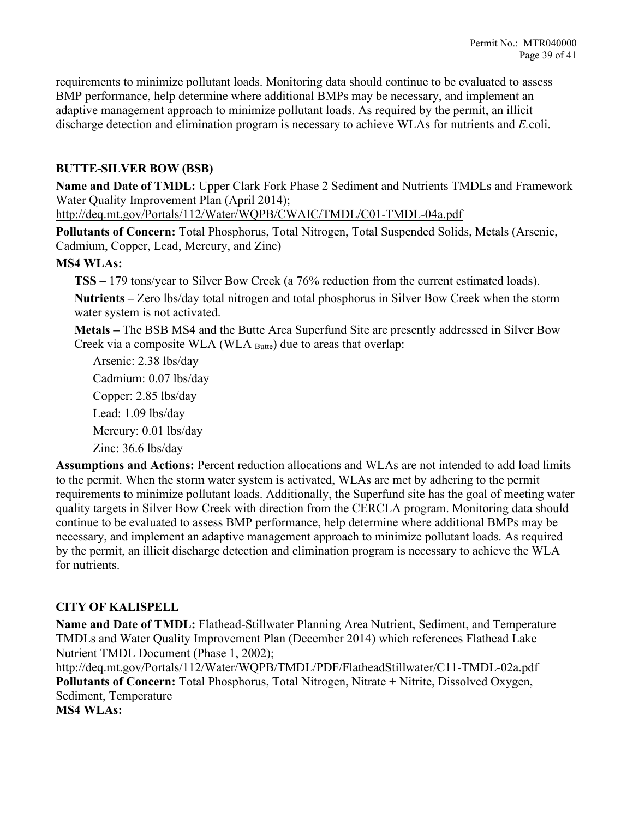requirements to minimize pollutant loads. Monitoring data should continue to be evaluated to assess BMP performance, help determine where additional BMPs may be necessary, and implement an adaptive management approach to minimize pollutant loads. As required by the permit, an illicit discharge detection and elimination program is necessary to achieve WLAs for nutrients and *E.*coli.

## **BUTTE-SILVER BOW (BSB)**

**Name and Date of TMDL:** Upper Clark Fork Phase 2 Sediment and Nutrients TMDLs and Framework Water Quality Improvement Plan (April 2014);

<http://deq.mt.gov/Portals/112/Water/WQPB/CWAIC/TMDL/C01-TMDL-04a.pdf>

**Pollutants of Concern:** Total Phosphorus, Total Nitrogen, Total Suspended Solids, Metals (Arsenic, Cadmium, Copper, Lead, Mercury, and Zinc)

#### **MS4 WLAs:**

**TSS –** 179 tons/year to Silver Bow Creek (a 76% reduction from the current estimated loads).

**Nutrients –** Zero lbs/day total nitrogen and total phosphorus in Silver Bow Creek when the storm water system is not activated.

**Metals –** The BSB MS4 and the Butte Area Superfund Site are presently addressed in Silver Bow Creek via a composite WLA (WLA Butte) due to areas that overlap:

Arsenic: 2.38 lbs/day Cadmium: 0.07 lbs/day Copper: 2.85 lbs/day Lead: 1.09 lbs/day Mercury: 0.01 lbs/day Zinc: 36.6 lbs/day

**Assumptions and Actions:** Percent reduction allocations and WLAs are not intended to add load limits to the permit. When the storm water system is activated, WLAs are met by adhering to the permit requirements to minimize pollutant loads. Additionally, the Superfund site has the goal of meeting water quality targets in Silver Bow Creek with direction from the CERCLA program. Monitoring data should continue to be evaluated to assess BMP performance, help determine where additional BMPs may be necessary, and implement an adaptive management approach to minimize pollutant loads. As required by the permit, an illicit discharge detection and elimination program is necessary to achieve the WLA for nutrients.

# **CITY OF KALISPELL**

**Name and Date of TMDL:** Flathead-Stillwater Planning Area Nutrient, Sediment, and Temperature TMDLs and Water Quality Improvement Plan (December 2014) which references Flathead Lake Nutrient TMDL Document (Phase 1, 2002);

<http://deq.mt.gov/Portals/112/Water/WQPB/TMDL/PDF/FlatheadStillwater/C11-TMDL-02a.pdf> **Pollutants of Concern:** Total Phosphorus, Total Nitrogen, Nitrate + Nitrite, Dissolved Oxygen, Sediment, Temperature **MS4 WLAs:**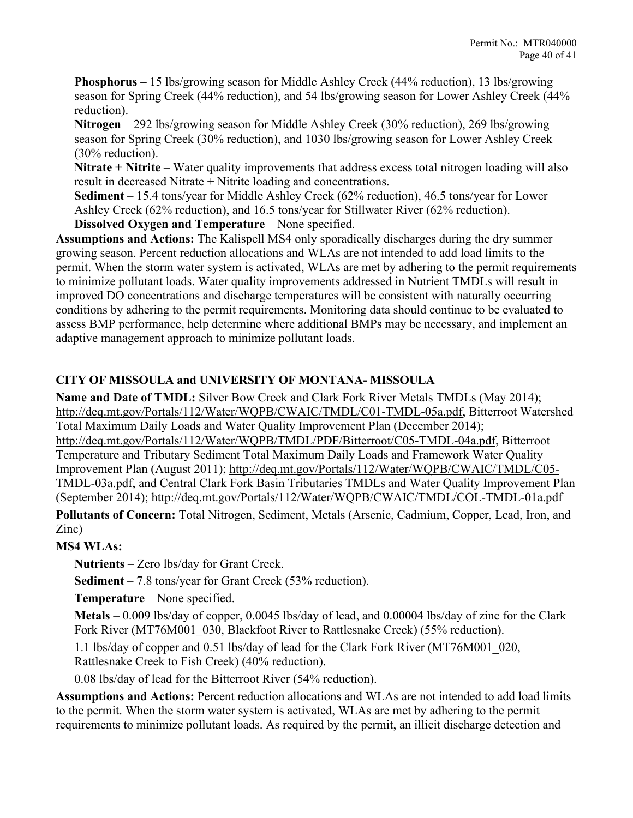**Phosphorus –** 15 lbs/growing season for Middle Ashley Creek (44% reduction), 13 lbs/growing season for Spring Creek (44% reduction), and 54 lbs/growing season for Lower Ashley Creek (44% reduction).

**Nitrogen** – 292 lbs/growing season for Middle Ashley Creek (30% reduction), 269 lbs/growing season for Spring Creek (30% reduction), and 1030 lbs/growing season for Lower Ashley Creek (30% reduction).

**Nitrate + Nitrite** – Water quality improvements that address excess total nitrogen loading will also result in decreased Nitrate + Nitrite loading and concentrations.

**Sediment** – 15.4 tons/year for Middle Ashley Creek (62% reduction), 46.5 tons/year for Lower Ashley Creek (62% reduction), and 16.5 tons/year for Stillwater River (62% reduction).

**Dissolved Oxygen and Temperature** – None specified.

**Assumptions and Actions:** The Kalispell MS4 only sporadically discharges during the dry summer growing season. Percent reduction allocations and WLAs are not intended to add load limits to the permit. When the storm water system is activated, WLAs are met by adhering to the permit requirements to minimize pollutant loads. Water quality improvements addressed in Nutrient TMDLs will result in improved DO concentrations and discharge temperatures will be consistent with naturally occurring conditions by adhering to the permit requirements. Monitoring data should continue to be evaluated to assess BMP performance, help determine where additional BMPs may be necessary, and implement an adaptive management approach to minimize pollutant loads.

# **CITY OF MISSOULA and UNIVERSITY OF MONTANA- MISSOULA**

**Name and Date of TMDL:** Silver Bow Creek and Clark Fork River Metals TMDLs (May 2014); [http://deq.mt.gov/Portals/112/Water/WQPB/CWAIC/TMDL/C01-TMDL-05a.pdf,](http://deq.mt.gov/Portals/112/Water/WQPB/CWAIC/TMDL/C01-TMDL-05a.pdf) Bitterroot Watershed Total Maximum Daily Loads and Water Quality Improvement Plan (December 2014); [http://deq.mt.gov/Portals/112/Water/WQPB/TMDL/PDF/Bitterroot/C05-TMDL-04a.pdf,](http://deq.mt.gov/Portals/112/Water/WQPB/TMDL/PDF/Bitterroot/C05-TMDL-04a.pdf) Bitterroot Temperature and Tributary Sediment Total Maximum Daily Loads and Framework Water Quality Improvement Plan (August 2011); [http://deq.mt.gov/Portals/112/Water/WQPB/CWAIC/TMDL/C05-](http://deq.mt.gov/Portals/112/Water/WQPB/CWAIC/TMDL/C05-TMDL-03a.pdf) [TMDL-03a.pdf,](http://deq.mt.gov/Portals/112/Water/WQPB/CWAIC/TMDL/C05-TMDL-03a.pdf) and Central Clark Fork Basin Tributaries TMDLs and Water Quality Improvement Plan (September 2014);<http://deq.mt.gov/Portals/112/Water/WQPB/CWAIC/TMDL/COL-TMDL-01a.pdf>

**Pollutants of Concern:** Total Nitrogen, Sediment, Metals (Arsenic, Cadmium, Copper, Lead, Iron, and Zinc)

# **MS4 WLAs:**

**Nutrients** – Zero lbs/day for Grant Creek.

**Sediment** – 7.8 tons/year for Grant Creek (53% reduction).

**Temperature** – None specified.

**Metals** – 0.009 lbs/day of copper, 0.0045 lbs/day of lead, and 0.00004 lbs/day of zinc for the Clark Fork River (MT76M001\_030, Blackfoot River to Rattlesnake Creek) (55% reduction).

1.1 lbs/day of copper and 0.51 lbs/day of lead for the Clark Fork River (MT76M001\_020, Rattlesnake Creek to Fish Creek) (40% reduction).

0.08 lbs/day of lead for the Bitterroot River (54% reduction).

**Assumptions and Actions:** Percent reduction allocations and WLAs are not intended to add load limits to the permit. When the storm water system is activated, WLAs are met by adhering to the permit requirements to minimize pollutant loads. As required by the permit, an illicit discharge detection and